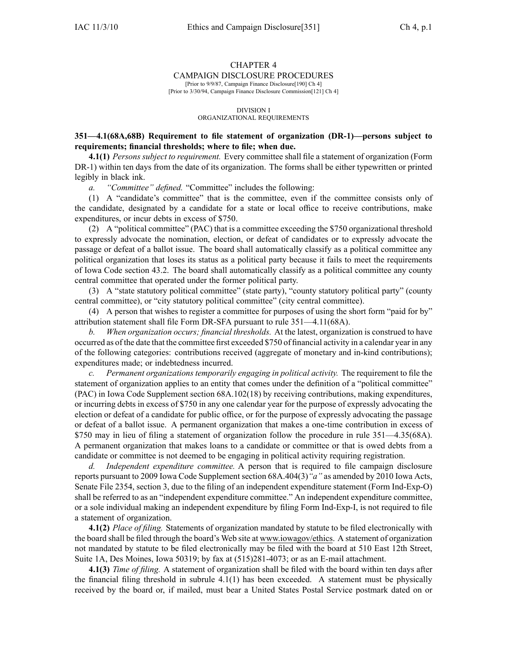# CHAPTER 4

## CAMPAIGN DISCLOSURE PROCEDURES

[Prior to 9/9/87, Campaign Finance Disclosure[190] Ch 4] [Prior to 3/30/94, Campaign Finance Disclosure Commission[121] Ch 4]

#### DIVISION I ORGANIZATIONAL REQUIREMENTS

## **351—4.1(68A,68B) Requirement to file statement of organization (DR-1)—persons subject to requirements; financial thresholds; where to file; when due.**

**4.1(1)** *Persons subject to requirement.* Every committee shall file <sup>a</sup> statement of organization (Form DR-1) within ten days from the date of its organization. The forms shall be either typewritten or printed legibly in black ink.

*a. "Committee" defined.* "Committee" includes the following:

(1) A "candidate's committee" that is the committee, even if the committee consists only of the candidate, designated by <sup>a</sup> candidate for <sup>a</sup> state or local office to receive contributions, make expenditures, or incur debts in excess of \$750.

(2) A "political committee" (PAC) that is <sup>a</sup> committee exceeding the \$750 organizational threshold to expressly advocate the nomination, election, or defeat of candidates or to expressly advocate the passage or defeat of <sup>a</sup> ballot issue. The board shall automatically classify as <sup>a</sup> political committee any political organization that loses its status as <sup>a</sup> political party because it fails to meet the requirements of Iowa Code section 43.2. The board shall automatically classify as <sup>a</sup> political committee any county central committee that operated under the former political party.

(3) A "state statutory political committee" (state party), "county statutory political party" (county central committee), or "city statutory political committee" (city central committee).

(4) A person that wishes to register <sup>a</sup> committee for purposes of using the short form "paid for by" attribution statement shall file Form DR-SFA pursuan<sup>t</sup> to rule 351—4.11(68A).

*b. When organization occurs; financial thresholds.* At the latest, organization is construed to have occurred as of the date that the committee first exceeded \$750 of financial activity in <sup>a</sup> calendar year in any of the following categories: contributions received (aggregate of monetary and in-kind contributions); expenditures made; or indebtedness incurred.

*c. Permanent organizations temporarily engaging in political activity.* The requirement to file the statement of organization applies to an entity that comes under the definition of <sup>a</sup> "political committee" (PAC) in Iowa Code Supplement section 68A.102(18) by receiving contributions, making expenditures, or incurring debts in excess of \$750 in any one calendar year for the purpose of expressly advocating the election or defeat of <sup>a</sup> candidate for public office, or for the purpose of expressly advocating the passage or defeat of <sup>a</sup> ballot issue. A permanen<sup>t</sup> organization that makes <sup>a</sup> one-time contribution in excess of \$750 may in lieu of filing <sup>a</sup> statement of organization follow the procedure in rule 351—4.35(68A). A permanen<sup>t</sup> organization that makes loans to <sup>a</sup> candidate or committee or that is owed debts from <sup>a</sup> candidate or committee is not deemed to be engaging in political activity requiring registration.

*d. Independent expenditure committee.* A person that is required to file campaign disclosure reports pursuan<sup>t</sup> to 2009 Iowa Code Supplement section 68A.404(3)*"a"* as amended by 2010 Iowa Acts, Senate File 2354, section 3, due to the filing of an independent expenditure statement (Form Ind-Exp-O) shall be referred to as an "independent expenditure committee." An independent expenditure committee, or <sup>a</sup> sole individual making an independent expenditure by filing Form Ind-Exp-I, is not required to file <sup>a</sup> statement of organization.

**4.1(2)** *Place of filing.* Statements of organization mandated by statute to be filed electronically with the board shall be filed through the board's Web site at www.iowagov/ethics. A statement of organization not mandated by statute to be filed electronically may be filed with the board at 510 East 12th Street, Suite 1A, Des Moines, Iowa 50319; by fax at (515)281-4073; or as an E-mail attachment.

**4.1(3)** *Time of filing.* A statement of organization shall be filed with the board within ten days after the financial filing threshold in subrule  $4.1(1)$  has been exceeded. A statement must be physically received by the board or, if mailed, must bear <sup>a</sup> United States Postal Service postmark dated on or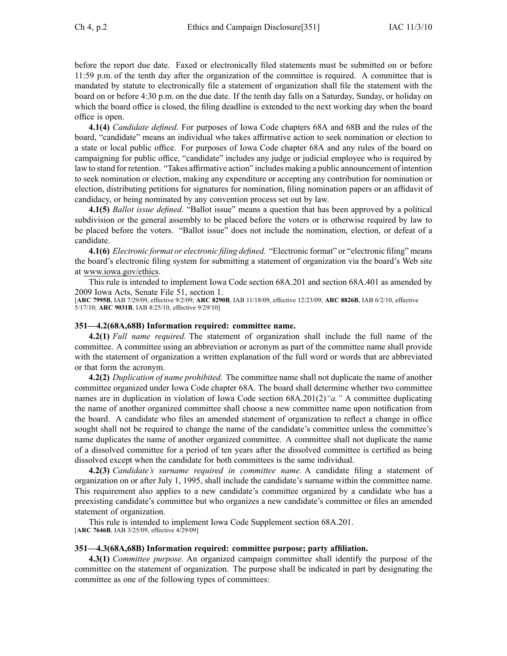before the repor<sup>t</sup> due date. Faxed or electronically filed statements must be submitted on or before 11:59 p.m. of the tenth day after the organization of the committee is required. A committee that is mandated by statute to electronically file <sup>a</sup> statement of organization shall file the statement with the board on or before 4:30 p.m. on the due date. If the tenth day falls on <sup>a</sup> Saturday, Sunday, or holiday on which the board office is closed, the filing deadline is extended to the next working day when the board office is open.

**4.1(4)** *Candidate defined.* For purposes of Iowa Code chapters 68A and 68B and the rules of the board, "candidate" means an individual who takes affirmative action to seek nomination or election to <sup>a</sup> state or local public office. For purposes of Iowa Code chapter 68A and any rules of the board on campaigning for public office, "candidate" includes any judge or judicial employee who is required by law to stand for retention. "Takes affirmative action" includes making <sup>a</sup> public announcement of intention to seek nomination or election, making any expenditure or accepting any contribution for nomination or election, distributing petitions for signatures for nomination, filing nomination papers or an affidavit of candidacy, or being nominated by any convention process set out by law.

**4.1(5)** *Ballot issue defined.* "Ballot issue" means <sup>a</sup> question that has been approved by <sup>a</sup> political subdivision or the general assembly to be placed before the voters or is otherwise required by law to be placed before the voters. "Ballot issue" does not include the nomination, election, or defeat of <sup>a</sup> candidate.

**4.1(6)** *Electronic format or electronic filing defined.* "Electronic format" or "electronic filing" means the board's electronic filing system for submitting <sup>a</sup> statement of organization via the board's Web site at www.iowa.gov/ethics.

This rule is intended to implement Iowa Code section 68A.201 and section 68A.401 as amended by 2009 Iowa Acts, Senate File 51, section 1.

[**ARC 7995B**, IAB 7/29/09, effective 9/2/09; **ARC 8290B**, IAB 11/18/09, effective 12/23/09; **ARC 8826B**, IAB 6/2/10, effective 5/17/10; **ARC 9031B**, IAB 8/25/10, effective 9/29/10]

#### **351—4.2(68A,68B) Information required: committee name.**

**4.2(1)** *Full name required.* The statement of organization shall include the full name of the committee. A committee using an abbreviation or acronym as par<sup>t</sup> of the committee name shall provide with the statement of organization <sup>a</sup> written explanation of the full word or words that are abbreviated or that form the acronym.

**4.2(2)** *Duplication of name prohibited.* The committee name shall not duplicate the name of another committee organized under Iowa Code chapter 68A. The board shall determine whether two committee names are in duplication in violation of Iowa Code section 68A.201(2)*"a."* A committee duplicating the name of another organized committee shall choose <sup>a</sup> new committee name upon notification from the board. A candidate who files an amended statement of organization to reflect <sup>a</sup> change in office sought shall not be required to change the name of the candidate's committee unless the committee's name duplicates the name of another organized committee. A committee shall not duplicate the name of <sup>a</sup> dissolved committee for <sup>a</sup> period of ten years after the dissolved committee is certified as being dissolved excep<sup>t</sup> when the candidate for both committees is the same individual.

**4.2(3)** *Candidate's surname required in committee name.* A candidate filing <sup>a</sup> statement of organization on or after July 1, 1995, shall include the candidate's surname within the committee name. This requirement also applies to <sup>a</sup> new candidate's committee organized by <sup>a</sup> candidate who has <sup>a</sup> preexisting candidate's committee but who organizes <sup>a</sup> new candidate's committee or files an amended statement of organization.

This rule is intended to implement Iowa Code Supplement section 68A.201. [**ARC 7646B**, IAB 3/25/09, effective 4/29/09]

#### **351—4.3(68A,68B) Information required: committee purpose; party affiliation.**

**4.3(1)** *Committee purpose.* An organized campaign committee shall identify the purpose of the committee on the statement of organization. The purpose shall be indicated in par<sup>t</sup> by designating the committee as one of the following types of committees: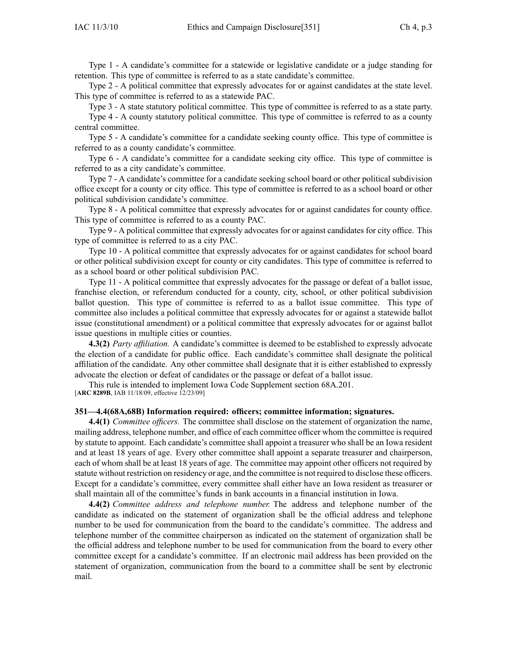Type 1 - A candidate's committee for <sup>a</sup> statewide or legislative candidate or <sup>a</sup> judge standing for retention. This type of committee is referred to as <sup>a</sup> state candidate's committee.

Type 2 - A political committee that expressly advocates for or against candidates at the state level. This type of committee is referred to as <sup>a</sup> statewide PAC.

Type 3 - A state statutory political committee. This type of committee is referred to as <sup>a</sup> state party.

Type 4 - A county statutory political committee. This type of committee is referred to as <sup>a</sup> county central committee.

Type 5 - A candidate's committee for <sup>a</sup> candidate seeking county office. This type of committee is referred to as <sup>a</sup> county candidate's committee.

Type 6 - A candidate's committee for <sup>a</sup> candidate seeking city office. This type of committee is referred to as <sup>a</sup> city candidate's committee.

Type 7 - A candidate's committee for <sup>a</sup> candidate seeking school board or other political subdivision office excep<sup>t</sup> for <sup>a</sup> county or city office. This type of committee is referred to as <sup>a</sup> school board or other political subdivision candidate's committee.

Type 8 - A political committee that expressly advocates for or against candidates for county office. This type of committee is referred to as <sup>a</sup> county PAC.

Type 9 - A political committee that expressly advocates for or against candidates for city office. This type of committee is referred to as <sup>a</sup> city PAC.

Type 10 - A political committee that expressly advocates for or against candidates for school board or other political subdivision excep<sup>t</sup> for county or city candidates. This type of committee is referred to as <sup>a</sup> school board or other political subdivision PAC.

Type 11 - A political committee that expressly advocates for the passage or defeat of <sup>a</sup> ballot issue, franchise election, or referendum conducted for <sup>a</sup> county, city, school, or other political subdivision ballot question. This type of committee is referred to as <sup>a</sup> ballot issue committee. This type of committee also includes <sup>a</sup> political committee that expressly advocates for or against <sup>a</sup> statewide ballot issue (constitutional amendment) or <sup>a</sup> political committee that expressly advocates for or against ballot issue questions in multiple cities or counties.

**4.3(2)** *Party affiliation.* A candidate's committee is deemed to be established to expressly advocate the election of <sup>a</sup> candidate for public office. Each candidate's committee shall designate the political affiliation of the candidate. Any other committee shall designate that it is either established to expressly advocate the election or defeat of candidates or the passage or defeat of <sup>a</sup> ballot issue.

This rule is intended to implement Iowa Code Supplement section 68A.201.

[**ARC 8289B**, IAB 11/18/09, effective 12/23/09]

#### **351—4.4(68A,68B) Information required: officers; committee information; signatures.**

**4.4(1)** *Committee officers.* The committee shall disclose on the statement of organization the name, mailing address, telephone number, and office of each committee officer whom the committee isrequired by statute to appoint. Each candidate's committee shall appoint <sup>a</sup> treasurer who shall be an Iowa resident and at least 18 years of age. Every other committee shall appoint <sup>a</sup> separate treasurer and chairperson, each of whom shall be at least 18 years of age. The committee may appoint other officers not required by statute without restriction on residency or age, and the committee is not required to disclose these officers. Except for <sup>a</sup> candidate's committee, every committee shall either have an Iowa resident as treasurer or shall maintain all of the committee's funds in bank accounts in <sup>a</sup> financial institution in Iowa.

**4.4(2)** *Committee address and telephone number.* The address and telephone number of the candidate as indicated on the statement of organization shall be the official address and telephone number to be used for communication from the board to the candidate's committee. The address and telephone number of the committee chairperson as indicated on the statement of organization shall be the official address and telephone number to be used for communication from the board to every other committee excep<sup>t</sup> for <sup>a</sup> candidate's committee. If an electronic mail address has been provided on the statement of organization, communication from the board to <sup>a</sup> committee shall be sent by electronic mail.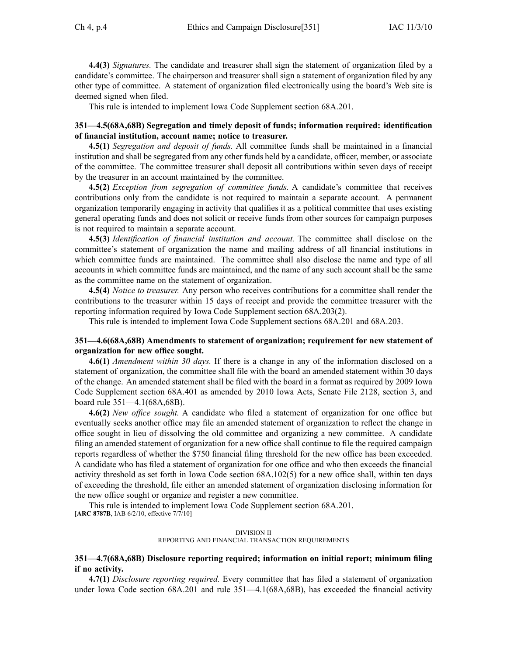**4.4(3)** *Signatures.* The candidate and treasurer shall sign the statement of organization filed by <sup>a</sup> candidate's committee. The chairperson and treasurer shall sign <sup>a</sup> statement of organization filed by any other type of committee. A statement of organization filed electronically using the board's Web site is deemed signed when filed.

This rule is intended to implement Iowa Code Supplement section 68A.201.

## **351—4.5(68A,68B) Segregation and timely deposit of funds; information required: identification of financial institution, account name; notice to treasurer.**

**4.5(1)** *Segregation and deposit of funds.* All committee funds shall be maintained in <sup>a</sup> financial institution and shall be segregated from any other funds held by <sup>a</sup> candidate, officer, member, or associate of the committee. The committee treasurer shall deposit all contributions within seven days of receipt by the treasurer in an account maintained by the committee.

**4.5(2)** *Exception from segregation of committee funds.* A candidate's committee that receives contributions only from the candidate is not required to maintain <sup>a</sup> separate account. A permanen<sup>t</sup> organization temporarily engaging in activity that qualifies it as <sup>a</sup> political committee that uses existing general operating funds and does not solicit or receive funds from other sources for campaign purposes is not required to maintain <sup>a</sup> separate account.

**4.5(3)** *Identification of financial institution and account.* The committee shall disclose on the committee's statement of organization the name and mailing address of all financial institutions in which committee funds are maintained. The committee shall also disclose the name and type of all accounts in which committee funds are maintained, and the name of any such account shall be the same as the committee name on the statement of organization.

**4.5(4)** *Notice to treasurer.* Any person who receives contributions for <sup>a</sup> committee shall render the contributions to the treasurer within 15 days of receipt and provide the committee treasurer with the reporting information required by Iowa Code Supplement section 68A.203(2).

This rule is intended to implement Iowa Code Supplement sections 68A.201 and 68A.203.

### **351—4.6(68A,68B) Amendments to statement of organization; requirement for new statement of organization for new office sought.**

**4.6(1)** *Amendment within 30 days.* If there is <sup>a</sup> change in any of the information disclosed on <sup>a</sup> statement of organization, the committee shall file with the board an amended statement within 30 days of the change. An amended statement shall be filed with the board in <sup>a</sup> format as required by 2009 Iowa Code Supplement section 68A.401 as amended by 2010 Iowa Acts, Senate File 2128, section 3, and board rule 351—4.1(68A,68B).

**4.6(2)** *New office sought.* A candidate who filed <sup>a</sup> statement of organization for one office but eventually seeks another office may file an amended statement of organization to reflect the change in office sought in lieu of dissolving the old committee and organizing <sup>a</sup> new committee. A candidate filing an amended statement of organization for <sup>a</sup> new office shall continue to file the required campaign reports regardless of whether the \$750 financial filing threshold for the new office has been exceeded. A candidate who has filed <sup>a</sup> statement of organization for one office and who then exceeds the financial activity threshold as set forth in Iowa Code section 68A.102(5) for <sup>a</sup> new office shall, within ten days of exceeding the threshold, file either an amended statement of organization disclosing information for the new office sought or organize and register <sup>a</sup> new committee.

This rule is intended to implement Iowa Code Supplement section 68A.201. [**ARC 8787B**, IAB 6/2/10, effective 7/7/10]

#### DIVISION II REPORTING AND FINANCIAL TRANSACTION REQUIREMENTS

### **351—4.7(68A,68B) Disclosure reporting required; information on initial report; minimum filing if no activity.**

**4.7(1)** *Disclosure reporting required.* Every committee that has filed <sup>a</sup> statement of organization under Iowa Code section 68A.201 and rule 351—4.1(68A,68B), has exceeded the financial activity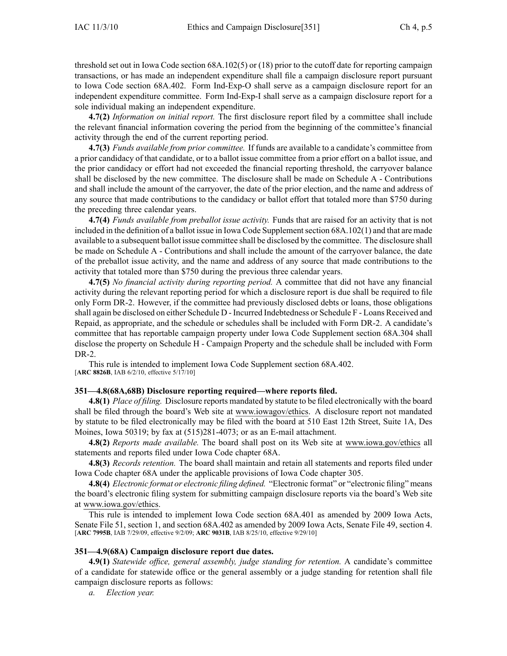threshold set out in Iowa Code section 68A.102(5) or (18) prior to the cutoff date for reporting campaign transactions, or has made an independent expenditure shall file <sup>a</sup> campaign disclosure repor<sup>t</sup> pursuan<sup>t</sup> to Iowa Code section 68A.402. Form Ind-Exp-O shall serve as <sup>a</sup> campaign disclosure repor<sup>t</sup> for an independent expenditure committee. Form Ind-Exp-I shall serve as <sup>a</sup> campaign disclosure repor<sup>t</sup> for <sup>a</sup> sole individual making an independent expenditure.

**4.7(2)** *Information on initial report.* The first disclosure repor<sup>t</sup> filed by <sup>a</sup> committee shall include the relevant financial information covering the period from the beginning of the committee's financial activity through the end of the current reporting period.

**4.7(3)** *Funds available from prior committee.* If funds are available to <sup>a</sup> candidate's committee from <sup>a</sup> prior candidacy of that candidate, or to <sup>a</sup> ballot issue committee from <sup>a</sup> prior effort on <sup>a</sup> ballot issue, and the prior candidacy or effort had not exceeded the financial reporting threshold, the carryover balance shall be disclosed by the new committee. The disclosure shall be made on Schedule A - Contributions and shall include the amount of the carryover, the date of the prior election, and the name and address of any source that made contributions to the candidacy or ballot effort that totaled more than \$750 during the preceding three calendar years.

**4.7(4)** *Funds available from preballot issue activity.* Funds that are raised for an activity that is not included in the definition of <sup>a</sup> ballot issue in Iowa Code Supplementsection 68A.102(1) and that are made available to <sup>a</sup> subsequent ballot issue committee shall be disclosed by the committee. The disclosure shall be made on Schedule A - Contributions and shall include the amount of the carryover balance, the date of the preballot issue activity, and the name and address of any source that made contributions to the activity that totaled more than \$750 during the previous three calendar years.

**4.7(5)** *No financial activity during reporting period.* A committee that did not have any financial activity during the relevant reporting period for which <sup>a</sup> disclosure repor<sup>t</sup> is due shall be required to file only Form DR-2. However, if the committee had previously disclosed debts or loans, those obligations shall again be disclosed on either Schedule D - Incurred Indebtedness or Schedule F - Loans Received and Repaid, as appropriate, and the schedule or schedules shall be included with Form DR-2. A candidate's committee that has reportable campaign property under Iowa Code Supplement section 68A.304 shall disclose the property on Schedule H - Campaign Property and the schedule shall be included with Form DR-2.

This rule is intended to implement Iowa Code Supplement section 68A.402. [**ARC 8826B**, IAB 6/2/10, effective 5/17/10]

#### **351—4.8(68A,68B) Disclosure reporting required—where reports filed.**

**4.8(1)** *Place of filing.* Disclosure reports mandated by statute to be filed electronically with the board shall be filed through the board's Web site at www.iowagov/ethics. A disclosure repor<sup>t</sup> not mandated by statute to be filed electronically may be filed with the board at 510 East 12th Street, Suite 1A, Des Moines, Iowa 50319; by fax at (515)281-4073; or as an E-mail attachment.

**4.8(2)** *Reports made available.* The board shall pos<sup>t</sup> on its Web site at www.iowa.gov/ethics all statements and reports filed under Iowa Code chapter 68A.

**4.8(3)** *Records retention.* The board shall maintain and retain all statements and reports filed under Iowa Code chapter 68A under the applicable provisions of Iowa Code chapter 305.

**4.8(4)** *Electronic format or electronic filing defined.* "Electronic format" or "electronic filing" means the board's electronic filing system for submitting campaign disclosure reports via the board's Web site at www.iowa.gov/ethics.

This rule is intended to implement Iowa Code section 68A.401 as amended by 2009 Iowa Acts, Senate File 51, section 1, and section 68A.402 as amended by 2009 Iowa Acts, Senate File 49, section 4. [**ARC 7995B**, IAB 7/29/09, effective 9/2/09; **ARC 9031B**, IAB 8/25/10, effective 9/29/10]

## **351—4.9(68A) Campaign disclosure report due dates.**

**4.9(1)** *Statewide office, general assembly, judge standing for retention.* A candidate's committee of <sup>a</sup> candidate for statewide office or the general assembly or <sup>a</sup> judge standing for retention shall file campaign disclosure reports as follows: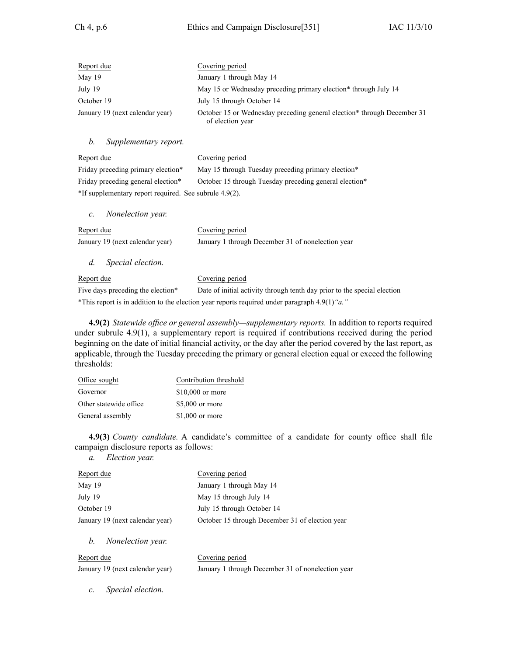| Report due                      | Covering period                                                                             |
|---------------------------------|---------------------------------------------------------------------------------------------|
| May 19                          | January 1 through May 14                                                                    |
| July 19                         | May 15 or Wednesday preceding primary election* through July 14                             |
| October 19                      | July 15 through October 14                                                                  |
| January 19 (next calendar year) | October 15 or Wednesday preceding general election* through December 31<br>of election year |

## *b. Supplementary report.*

| Report due                                                | Covering period                                                                                                                                                                                                                                                                                           |  |
|-----------------------------------------------------------|-----------------------------------------------------------------------------------------------------------------------------------------------------------------------------------------------------------------------------------------------------------------------------------------------------------|--|
| Friday preceding primary election*                        | May 15 through Tuesday preceding primary election*                                                                                                                                                                                                                                                        |  |
| Friday preceding general election*                        | October 15 through Tuesday preceding general election*                                                                                                                                                                                                                                                    |  |
| $*$ If supplementary report required. See subrule 4.9(2). |                                                                                                                                                                                                                                                                                                           |  |
| <i>Nonelection year.</i><br>$\mathcal{C}$ .               |                                                                                                                                                                                                                                                                                                           |  |
| Report due                                                | Covering period                                                                                                                                                                                                                                                                                           |  |
| January 19 (next calendar year)                           | January 1 through December 31 of nonelection year                                                                                                                                                                                                                                                         |  |
| $d_{\cdot}$<br>Special election.                          |                                                                                                                                                                                                                                                                                                           |  |
| Report due                                                | Covering period                                                                                                                                                                                                                                                                                           |  |
| Five days preceding the election*                         | Date of initial activity through tenth day prior to the special election                                                                                                                                                                                                                                  |  |
| $+$ $ +$                                                  | $\frac{1}{2}$ , $\frac{1}{2}$ , $\frac{1}{2}$ , $\frac{1}{2}$ , $\frac{1}{2}$ , $\frac{1}{2}$ , $\frac{1}{2}$ , $\frac{1}{2}$ , $\frac{1}{2}$ , $\frac{1}{2}$ , $\frac{1}{2}$ , $\frac{1}{2}$ , $\frac{1}{2}$ , $\frac{1}{2}$ , $\frac{1}{2}$ , $\frac{1}{2}$ , $\frac{1}{2}$ , $\frac{1}{2}$ , $\frac{1$ |  |

\*This repor<sup>t</sup> is in addition to the election year reports required under paragraph 4.9(1)*"a."*

**4.9(2)** *Statewide office or general assembly—supplementary reports.* In addition to reports required under subrule 4.9(1), <sup>a</sup> supplementary repor<sup>t</sup> is required if contributions received during the period beginning on the date of initial financial activity, or the day after the period covered by the last report, as applicable, through the Tuesday preceding the primary or general election equal or exceed the following thresholds:

| Office sought          | Contribution threshold |
|------------------------|------------------------|
| Governor               | $$10,000$ or more      |
| Other statewide office | \$5,000 or more        |
| General assembly       | $$1,000$ or more       |

**4.9(3)** *County candidate.* A candidate's committee of <sup>a</sup> candidate for county office shall file campaign disclosure reports as follows:

*a. Election year.*

| Report due                      | Covering period                                 |
|---------------------------------|-------------------------------------------------|
| May 19                          | January 1 through May 14                        |
| July 19                         | May 15 through July 14                          |
| October 19                      | July 15 through October 14                      |
| January 19 (next calendar year) | October 15 through December 31 of election year |
|                                 |                                                 |

*b. Nonelection year.*

Report due Covering period January 19 (next calendar year) January 1 through December 31 of nonelection year

*c. Special election.*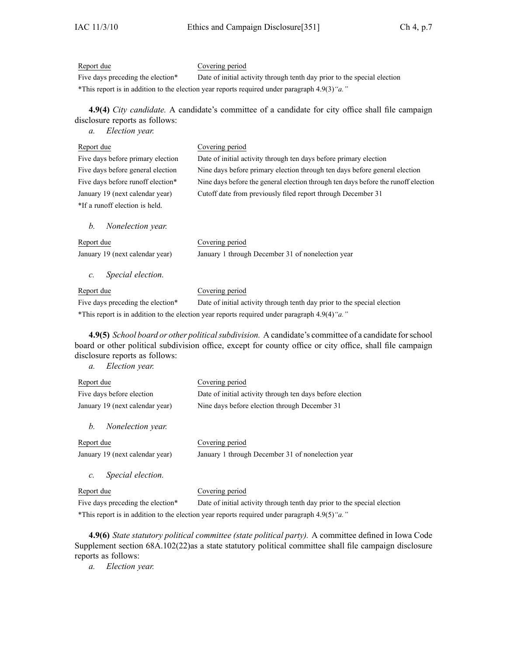## Report due Covering period

Five days preceding the election\* Date of initial activity through tenth day prior to the special election \*This repor<sup>t</sup> is in addition to the election year reports required under paragraph 4.9(3)*"a."*

**4.9(4)** *City candidate.* A candidate's committee of <sup>a</sup> candidate for city office shall file campaign disclosure reports as follows:

*a. Election year.*

| Report due                           | Covering period                                                                                 |
|--------------------------------------|-------------------------------------------------------------------------------------------------|
| Five days before primary election    | Date of initial activity through ten days before primary election                               |
| Five days before general election    | Nine days before primary election through ten days before general election                      |
| Five days before runoff election*    | Nine days before the general election through ten days before the runoff election               |
| January 19 (next calendar year)      | Cutoff date from previously filed report through December 31                                    |
| *If a runoff election is held.       |                                                                                                 |
| Nonelection year.<br>$h_{\cdot}$     |                                                                                                 |
| Report due                           | Covering period                                                                                 |
| January 19 (next calendar year)      | January 1 through December 31 of nonelection year                                               |
| Special election.<br>$\mathcal{C}$ . |                                                                                                 |
| Report due                           | Covering period                                                                                 |
| Five days preceding the election*    | Date of initial activity through tenth day prior to the special election                        |
|                                      | *This report is in addition to the election year reports required under paragraph $4.9(4)$ "a." |
|                                      |                                                                                                 |

**4.9(5)** *School board or other politicalsubdivision.* A candidate's committee of <sup>a</sup> candidate forschool board or other political subdivision office, excep<sup>t</sup> for county office or city office, shall file campaign disclosure reports as follows:

*a. Election year.*

| Report due                        | Covering period                                                                                                                                                                                                                 |
|-----------------------------------|---------------------------------------------------------------------------------------------------------------------------------------------------------------------------------------------------------------------------------|
| Five days before election         | Date of initial activity through ten days before election                                                                                                                                                                       |
| January 19 (next calendar year)   | Nine days before election through December 31                                                                                                                                                                                   |
| Nonelection year.<br>b.           |                                                                                                                                                                                                                                 |
| Report due                        | Covering period                                                                                                                                                                                                                 |
| January 19 (next calendar year)   | January 1 through December 31 of nonelection year                                                                                                                                                                               |
| Special election.<br>$c$ .        |                                                                                                                                                                                                                                 |
| Report due                        | Covering period                                                                                                                                                                                                                 |
| Five days preceding the election* | Date of initial activity through tenth day prior to the special election                                                                                                                                                        |
| $+T$                              | $\ell$ , and the state of the state of the state of the state of the state of the state of the state of the state of the state of the state of the state of the state of the state of the state of the state of the state of th |

\*This repor<sup>t</sup> is in addition to the election year reports required under paragraph 4.9(5)*"a."*

**4.9(6)** *State statutory political committee (state political party).* A committee defined in Iowa Code Supplement section 68A.102(22)as <sup>a</sup> state statutory political committee shall file campaign disclosure reports as follows: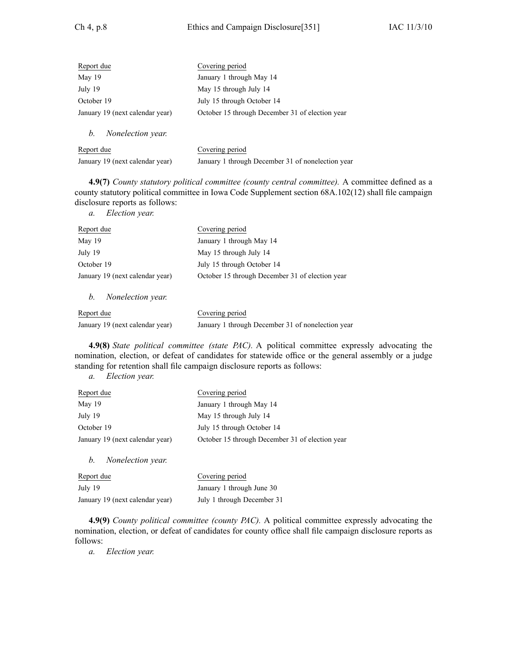| Report due                      | Covering period                                 |
|---------------------------------|-------------------------------------------------|
| May 19                          | January 1 through May 14                        |
| July 19                         | May 15 through July 14                          |
| October 19                      | July 15 through October 14                      |
| January 19 (next calendar year) | October 15 through December 31 of election year |
| Nonelection year.<br>b.         |                                                 |

| Report due                      | Covering period                                   |
|---------------------------------|---------------------------------------------------|
| January 19 (next calendar year) | January 1 through December 31 of nonelection year |

**4.9(7)** *County statutory political committee (county central committee).* A committee defined as <sup>a</sup> county statutory political committee in Iowa Code Supplement section 68A.102(12) shall file campaign disclosure reports as follows:

*a. Election year.*

| Report due                      | Covering period                                 |
|---------------------------------|-------------------------------------------------|
| May 19                          | January 1 through May 14                        |
| July 19                         | May 15 through July 14                          |
| October 19                      | July 15 through October 14                      |
| January 19 (next calendar year) | October 15 through December 31 of election year |
| Nonelection year.<br>b.         |                                                 |

| Report due                      | Covering period                                   |
|---------------------------------|---------------------------------------------------|
| January 19 (next calendar year) | January 1 through December 31 of nonelection year |

**4.9(8)** *State political committee (state PAC).* A political committee expressly advocating the nomination, election, or defeat of candidates for statewide office or the general assembly or <sup>a</sup> judge standing for retention shall file campaign disclosure reports as follows:

*a. Election year.*

| Covering period                                 |
|-------------------------------------------------|
| January 1 through May 14                        |
| May 15 through July 14                          |
| July 15 through October 14                      |
| October 15 through December 31 of election year |
|                                                 |
|                                                 |

| Report due                      | Covering period            |
|---------------------------------|----------------------------|
| July 19                         | January 1 through June 30  |
| January 19 (next calendar year) | July 1 through December 31 |

**4.9(9)** *County political committee (county PAC).* A political committee expressly advocating the nomination, election, or defeat of candidates for county office shall file campaign disclosure reports as follows: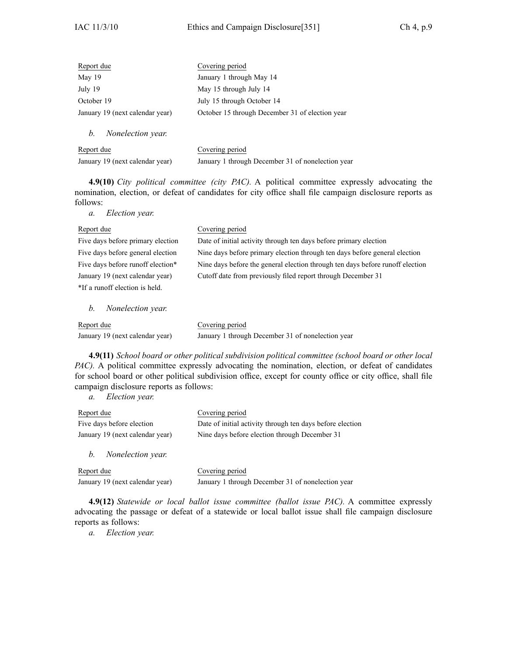| Report due                      | Covering period                                 |
|---------------------------------|-------------------------------------------------|
| May 19                          | January 1 through May 14                        |
| July 19                         | May 15 through July 14                          |
| October 19                      | July 15 through October 14                      |
| January 19 (next calendar year) | October 15 through December 31 of election year |
| Nonelection year.<br>b.         |                                                 |

| Report due                      | Covering period                                   |
|---------------------------------|---------------------------------------------------|
| January 19 (next calendar year) | January 1 through December 31 of nonelection year |

**4.9(10)** *City political committee (city PAC).* A political committee expressly advocating the nomination, election, or defeat of candidates for city office shall file campaign disclosure reports as follows:

*a. Election year.*

| Report due                        | Covering period                                                               |
|-----------------------------------|-------------------------------------------------------------------------------|
| Five days before primary election | Date of initial activity through ten days before primary election             |
| Five days before general election | Nine days before primary election through ten days before general election    |
| Five days before runoff election* | Nine days before the general election through ten days before runoff election |
| January 19 (next calendar year)   | Cutoff date from previously filed report through December 31                  |
| *If a runoff election is held.    |                                                                               |
|                                   |                                                                               |

*b. Nonelection year.*

| Report due                      | Covering period                                   |
|---------------------------------|---------------------------------------------------|
| January 19 (next calendar year) | January 1 through December 31 of nonelection year |

**4.9(11)** *School board or other political subdivision political committee (school board or other local PAC*). A political committee expressly advocating the nomination, election, or defeat of candidates for school board or other political subdivision office, excep<sup>t</sup> for county office or city office, shall file campaign disclosure reports as follows:

*a. Election year.*

| Report due                          | Covering period                                           |
|-------------------------------------|-----------------------------------------------------------|
| Five days before election           | Date of initial activity through ten days before election |
| January 19 (next calendar year)     | Nine days before election through December 31             |
| <i>Nonelection year.</i><br>$b_{1}$ |                                                           |

| Report due                      | Covering period                                   |
|---------------------------------|---------------------------------------------------|
| January 19 (next calendar year) | January 1 through December 31 of nonelection year |

**4.9(12)** *Statewide or local ballot issue committee (ballot issue PAC).* A committee expressly advocating the passage or defeat of <sup>a</sup> statewide or local ballot issue shall file campaign disclosure reports as follows: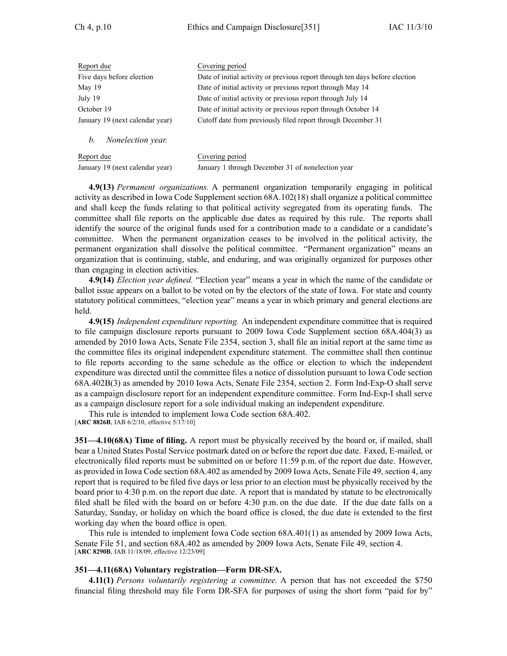| Report due                      | Covering period                                                              |
|---------------------------------|------------------------------------------------------------------------------|
| Five days before election       | Date of initial activity or previous report through ten days before election |
| May $19$                        | Date of initial activity or previous report through May 14                   |
| July 19                         | Date of initial activity or previous report through July 14                  |
| October 19                      | Date of initial activity or previous report through October 14               |
| January 19 (next calendar year) | Cutoff date from previously filed report through December 31                 |
| Nonelection year.<br>h.         |                                                                              |

| Report due                      | Covering period                                   |
|---------------------------------|---------------------------------------------------|
| January 19 (next calendar year) | January 1 through December 31 of nonelection year |

**4.9(13)** *Permanent organizations.* A permanen<sup>t</sup> organization temporarily engaging in political activity as described in Iowa Code Supplement section 68A.102(18) shall organize <sup>a</sup> political committee and shall keep the funds relating to that political activity segregated from its operating funds. The committee shall file reports on the applicable due dates as required by this rule. The reports shall identify the source of the original funds used for a contribution made to a candidate or a candidate's committee. When the permanen<sup>t</sup> organization ceases to be involved in the political activity, the permanen<sup>t</sup> organization shall dissolve the political committee. "Permanent organization" means an organization that is continuing, stable, and enduring, and was originally organized for purposes other than engaging in election activities.

**4.9(14)** *Election year defined.* "Election year" means <sup>a</sup> year in which the name of the candidate or ballot issue appears on <sup>a</sup> ballot to be voted on by the electors of the state of Iowa. For state and county statutory political committees, "election year" means <sup>a</sup> year in which primary and general elections are held.

**4.9(15)** *Independent expenditure reporting.* An independent expenditure committee that is required to file campaign disclosure reports pursuan<sup>t</sup> to 2009 Iowa Code Supplement section 68A.404(3) as amended by 2010 Iowa Acts, Senate File 2354, section 3, shall file an initial repor<sup>t</sup> at the same time as the committee files its original independent expenditure statement. The committee shall then continue to file reports according to the same schedule as the office or election to which the independent expenditure was directed until the committee files <sup>a</sup> notice of dissolution pursuan<sup>t</sup> to Iowa Code section 68A.402B(3) as amended by 2010 Iowa Acts, Senate File 2354, section 2. Form Ind-Exp-O shall serve as <sup>a</sup> campaign disclosure repor<sup>t</sup> for an independent expenditure committee. Form Ind-Exp-I shall serve as <sup>a</sup> campaign disclosure repor<sup>t</sup> for <sup>a</sup> sole individual making an independent expenditure.

This rule is intended to implement Iowa Code section 68A.402. [**ARC 8826B**, IAB 6/2/10, effective 5/17/10]

**351—4.10(68A) Time of filing.** A repor<sup>t</sup> must be physically received by the board or, if mailed, shall bear <sup>a</sup> United States Postal Service postmark dated on or before the repor<sup>t</sup> due date. Faxed, E-mailed, or electronically filed reports must be submitted on or before 11:59 p.m. of the repor<sup>t</sup> due date. However, as provided in Iowa Code section 68A.402 as amended by 2009 Iowa Acts, Senate File 49, section 4, any repor<sup>t</sup> that is required to be filed five days or less prior to an election must be physically received by the board prior to 4:30 p.m. on the repor<sup>t</sup> due date. A repor<sup>t</sup> that is mandated by statute to be electronically filed shall be filed with the board on or before 4:30 p.m. on the due date. If the due date falls on <sup>a</sup> Saturday, Sunday, or holiday on which the board office is closed, the due date is extended to the first working day when the board office is open.

This rule is intended to implement Iowa Code section 68A.401(1) as amended by 2009 Iowa Acts, Senate File 51, and section 68A.402 as amended by 2009 Iowa Acts, Senate File 49, section 4. [**ARC 8290B**, IAB 11/18/09, effective 12/23/09]

#### **351—4.11(68A) Voluntary registration—Form DR-SFA.**

**4.11(1)** *Persons voluntarily registering <sup>a</sup> committee.* A person that has not exceeded the \$750 financial filing threshold may file Form DR-SFA for purposes of using the short form "paid for by"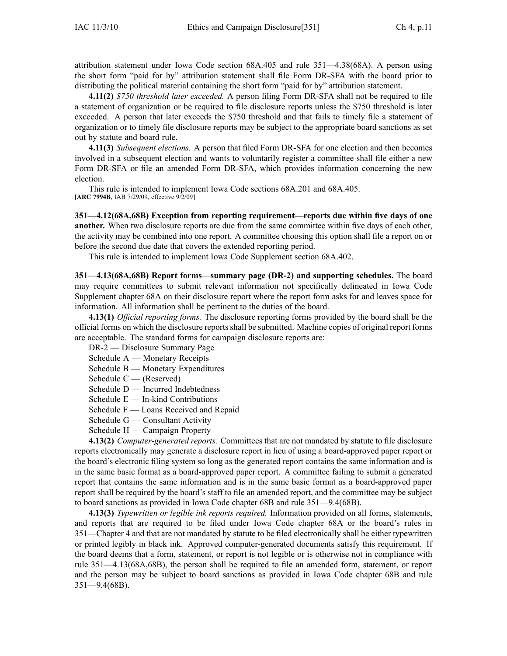attribution statement under Iowa Code section 68A.405 and rule 351—4.38(68A). A person using the short form "paid for by" attribution statement shall file Form DR-SFA with the board prior to distributing the political material containing the short form "paid for by" attribution statement.

**4.11(2)** *\$750 threshold later exceeded.* A person filing Form DR-SFA shall not be required to file <sup>a</sup> statement of organization or be required to file disclosure reports unless the \$750 threshold is later exceeded. A person that later exceeds the \$750 threshold and that fails to timely file <sup>a</sup> statement of organization or to timely file disclosure reports may be subject to the appropriate board sanctions as set out by statute and board rule.

**4.11(3)** *Subsequent elections.* A person that filed Form DR-SFA for one election and then becomes involved in <sup>a</sup> subsequent election and wants to voluntarily register <sup>a</sup> committee shall file either <sup>a</sup> new Form DR-SFA or file an amended Form DR-SFA, which provides information concerning the new election.

This rule is intended to implement Iowa Code sections 68A.201 and 68A.405. [**ARC 7994B**, IAB 7/29/09, effective 9/2/09]

**351—4.12(68A,68B) Exception from reporting requirement—reports due within five days of one another.** When two disclosure reports are due from the same committee within five days of each other, the activity may be combined into one report. A committee choosing this option shall file <sup>a</sup> repor<sup>t</sup> on or before the second due date that covers the extended reporting period.

This rule is intended to implement Iowa Code Supplement section 68A.402.

**351—4.13(68A,68B) Report forms—summary page (DR-2) and supporting schedules.** The board may require committees to submit relevant information not specifically delineated in Iowa Code Supplement chapter 68A on their disclosure repor<sup>t</sup> where the repor<sup>t</sup> form asks for and leaves space for information. All information shall be pertinent to the duties of the board.

**4.13(1)** *Official reporting forms.* The disclosure reporting forms provided by the board shall be the official forms on which the disclosure reportsshall be submitted. Machine copies of original repor<sup>t</sup> forms are acceptable. The standard forms for campaign disclosure reports are:

DR-2 — Disclosure Summary Page

Schedule A — Monetary Receipts

Schedule B — Monetary Expenditures

Schedule C — (Reserved)

Schedule D — Incurred Indebtedness

- Schedule  $E$  In-kind Contributions
- Schedule F Loans Received and Repaid
- Schedule G Consultant Activity
- Schedule H Campaign Property

**4.13(2)** *Computer-generated reports.* Committees that are not mandated by statute to file disclosure reports electronically may generate <sup>a</sup> disclosure repor<sup>t</sup> in lieu of using <sup>a</sup> board-approved paper repor<sup>t</sup> or the board's electronic filing system so long as the generated repor<sup>t</sup> contains the same information and is in the same basic format as <sup>a</sup> board-approved paper report. A committee failing to submit <sup>a</sup> generated repor<sup>t</sup> that contains the same information and is in the same basic format as <sup>a</sup> board-approved paper repor<sup>t</sup> shall be required by the board's staff to file an amended report, and the committee may be subject to board sanctions as provided in Iowa Code chapter 68B and rule 351—9.4(68B).

**4.13(3)** *Typewritten or legible ink reports required.* Information provided on all forms, statements, and reports that are required to be filed under Iowa Code chapter 68A or the board's rules in 351—Chapter 4 and that are not mandated by statute to be filed electronically shall be either typewritten or printed legibly in black ink. Approved computer-generated documents satisfy this requirement. If the board deems that <sup>a</sup> form, statement, or repor<sup>t</sup> is not legible or is otherwise not in compliance with rule 351—4.13(68A,68B), the person shall be required to file an amended form, statement, or repor<sup>t</sup> and the person may be subject to board sanctions as provided in Iowa Code chapter 68B and rule 351—9.4(68B).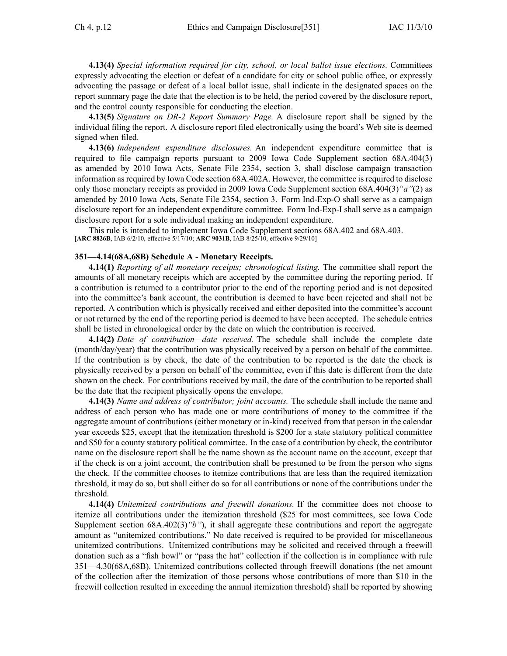**4.13(4)** *Special information required for city, school, or local ballot issue elections.* Committees expressly advocating the election or defeat of <sup>a</sup> candidate for city or school public office, or expressly advocating the passage or defeat of <sup>a</sup> local ballot issue, shall indicate in the designated spaces on the repor<sup>t</sup> summary page the date that the election is to be held, the period covered by the disclosure report, and the control county responsible for conducting the election.

**4.13(5)** *Signature on DR-2 Report Summary Page.* A disclosure repor<sup>t</sup> shall be signed by the individual filing the report. A disclosure repor<sup>t</sup> filed electronically using the board's Web site is deemed signed when filed.

**4.13(6)** *Independent expenditure disclosures.* An independent expenditure committee that is required to file campaign reports pursuan<sup>t</sup> to 2009 Iowa Code Supplement section 68A.404(3) as amended by 2010 Iowa Acts, Senate File 2354, section 3, shall disclose campaign transaction information as required by Iowa Code section 68A.402A. However, the committee is required to disclose only those monetary receipts as provided in 2009 Iowa Code Supplement section 68A.404(3)*"a"*(2) as amended by 2010 Iowa Acts, Senate File 2354, section 3. Form Ind-Exp-O shall serve as <sup>a</sup> campaign disclosure repor<sup>t</sup> for an independent expenditure committee. Form Ind-Exp-I shall serve as <sup>a</sup> campaign disclosure repor<sup>t</sup> for <sup>a</sup> sole individual making an independent expenditure.

This rule is intended to implement Iowa Code Supplement sections 68A.402 and 68A.403. [**ARC 8826B**, IAB 6/2/10, effective 5/17/10; **ARC 9031B**, IAB 8/25/10, effective 9/29/10]

## **351—4.14(68A,68B) Schedule A - Monetary Receipts.**

**4.14(1)** *Reporting of all monetary receipts; chronological listing.* The committee shall repor<sup>t</sup> the amounts of all monetary receipts which are accepted by the committee during the reporting period. If <sup>a</sup> contribution is returned to <sup>a</sup> contributor prior to the end of the reporting period and is not deposited into the committee's bank account, the contribution is deemed to have been rejected and shall not be reported. A contribution which is physically received and either deposited into the committee's account or not returned by the end of the reporting period is deemed to have been accepted. The schedule entries shall be listed in chronological order by the date on which the contribution is received.

**4.14(2)** *Date of contribution—date received.* The schedule shall include the complete date (month/day/year) that the contribution was physically received by <sup>a</sup> person on behalf of the committee. If the contribution is by check, the date of the contribution to be reported is the date the check is physically received by <sup>a</sup> person on behalf of the committee, even if this date is different from the date shown on the check. For contributions received by mail, the date of the contribution to be reported shall be the date that the recipient physically opens the envelope.

**4.14(3)** *Name and address of contributor; joint accounts.* The schedule shall include the name and address of each person who has made one or more contributions of money to the committee if the aggregate amount of contributions (either monetary or in-kind) received from that person in the calendar year exceeds \$25, excep<sup>t</sup> that the itemization threshold is \$200 for <sup>a</sup> state statutory political committee and \$50 for <sup>a</sup> county statutory political committee. In the case of <sup>a</sup> contribution by check, the contributor name on the disclosure repor<sup>t</sup> shall be the name shown as the account name on the account, excep<sup>t</sup> that if the check is on <sup>a</sup> joint account, the contribution shall be presumed to be from the person who signs the check. If the committee chooses to itemize contributions that are less than the required itemization threshold, it may do so, but shall either do so for all contributions or none of the contributions under the threshold.

**4.14(4)** *Unitemized contributions and freewill donations.* If the committee does not choose to itemize all contributions under the itemization threshold (\$25 for most committees, see Iowa Code Supplement section 68A.402(3)*"b"*), it shall aggregate these contributions and repor<sup>t</sup> the aggregate amount as "unitemized contributions." No date received is required to be provided for miscellaneous unitemized contributions. Unitemized contributions may be solicited and received through <sup>a</sup> freewill donation such as <sup>a</sup> "fish bowl" or "pass the hat" collection if the collection is in compliance with rule 351—4.30(68A,68B). Unitemized contributions collected through freewill donations (the net amount of the collection after the itemization of those persons whose contributions of more than \$10 in the freewill collection resulted in exceeding the annual itemization threshold) shall be reported by showing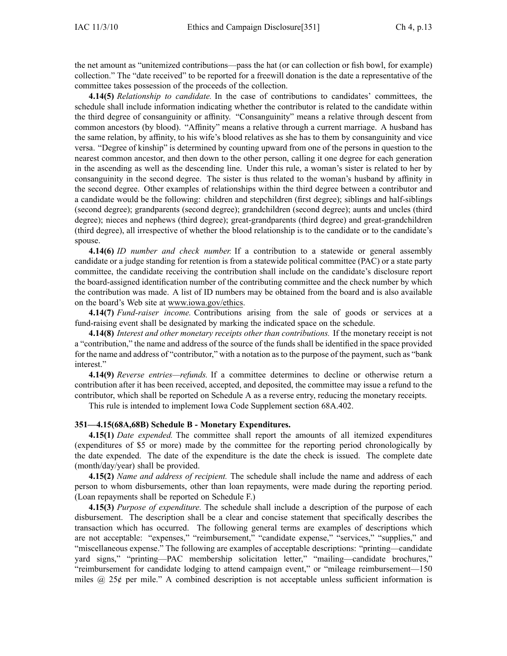the net amount as "unitemized contributions—pass the hat (or can collection or fish bowl, for example) collection." The "date received" to be reported for <sup>a</sup> freewill donation is the date <sup>a</sup> representative of the committee takes possession of the proceeds of the collection.

**4.14(5)** *Relationship to candidate.* In the case of contributions to candidates' committees, the schedule shall include information indicating whether the contributor is related to the candidate within the third degree of consanguinity or affinity. "Consanguinity" means <sup>a</sup> relative through descent from common ancestors (by blood). "Affinity" means <sup>a</sup> relative through <sup>a</sup> current marriage. A husband has the same relation, by affinity, to his wife's blood relatives as she has to them by consanguinity and vice versa. "Degree of kinship" is determined by counting upward from one of the persons in question to the nearest common ancestor, and then down to the other person, calling it one degree for each generation in the ascending as well as the descending line. Under this rule, <sup>a</sup> woman's sister is related to her by consanguinity in the second degree. The sister is thus related to the woman's husband by affinity in the second degree. Other examples of relationships within the third degree between <sup>a</sup> contributor and <sup>a</sup> candidate would be the following: children and stepchildren (first degree); siblings and half-siblings (second degree); grandparents (second degree); grandchildren (second degree); aunts and uncles (third degree); nieces and nephews (third degree); great-grandparents (third degree) and great-grandchildren (third degree), all irrespective of whether the blood relationship is to the candidate or to the candidate's spouse.

**4.14(6)** *ID number and check number.* If <sup>a</sup> contribution to <sup>a</sup> statewide or general assembly candidate or <sup>a</sup> judge standing for retention is from <sup>a</sup> statewide political committee (PAC) or <sup>a</sup> state party committee, the candidate receiving the contribution shall include on the candidate's disclosure repor<sup>t</sup> the board-assigned identification number of the contributing committee and the check number by which the contribution was made. A list of ID numbers may be obtained from the board and is also available on the board's Web site at www.iowa.gov/ethics.

**4.14(7)** *Fund-raiser income.* Contributions arising from the sale of goods or services at <sup>a</sup> fund-raising event shall be designated by marking the indicated space on the schedule.

**4.14(8)** *Interest and other monetary receipts other than contributions.* If the monetary receipt is not <sup>a</sup> "contribution," the name and address of the source of the funds shall be identified in the space provided for the name and address of "contributor," with <sup>a</sup> notation asto the purpose of the payment, such as "bank interest."

**4.14(9)** *Reverse entries—refunds.* If <sup>a</sup> committee determines to decline or otherwise return <sup>a</sup> contribution after it has been received, accepted, and deposited, the committee may issue <sup>a</sup> refund to the contributor, which shall be reported on Schedule A as <sup>a</sup> reverse entry, reducing the monetary receipts.

This rule is intended to implement Iowa Code Supplement section 68A.402.

### **351—4.15(68A,68B) Schedule B - Monetary Expenditures.**

**4.15(1)** *Date expended.* The committee shall repor<sup>t</sup> the amounts of all itemized expenditures (expenditures of \$5 or more) made by the committee for the reporting period chronologically by the date expended. The date of the expenditure is the date the check is issued. The complete date (month/day/year) shall be provided.

**4.15(2)** *Name and address of recipient.* The schedule shall include the name and address of each person to whom disbursements, other than loan repayments, were made during the reporting period. (Loan repayments shall be reported on Schedule F.)

**4.15(3)** *Purpose of expenditure.* The schedule shall include <sup>a</sup> description of the purpose of each disbursement. The description shall be <sup>a</sup> clear and concise statement that specifically describes the transaction which has occurred. The following general terms are examples of descriptions which are not acceptable: "expenses," "reimbursement," "candidate expense," "services," "supplies," and "miscellaneous expense." The following are examples of acceptable descriptions: "printing—candidate yard signs," "printing—PAC membership solicitation letter," "mailing—candidate brochures," "reimbursement for candidate lodging to attend campaign event," or "mileage reimbursement—150 miles  $\omega$  25¢ per mile." A combined description is not acceptable unless sufficient information is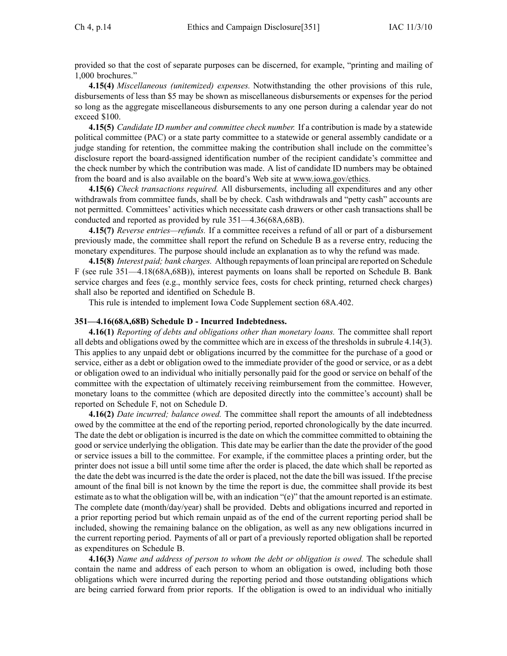provided so that the cost of separate purposes can be discerned, for example, "printing and mailing of 1,000 brochures."

**4.15(4)** *Miscellaneous (unitemized) expenses.* Notwithstanding the other provisions of this rule, disbursements of less than \$5 may be shown as miscellaneous disbursements or expenses for the period so long as the aggregate miscellaneous disbursements to any one person during <sup>a</sup> calendar year do not exceed \$100.

**4.15(5)** *Candidate ID number and committee check number.* If <sup>a</sup> contribution is made by <sup>a</sup> statewide political committee (PAC) or <sup>a</sup> state party committee to <sup>a</sup> statewide or general assembly candidate or <sup>a</sup> judge standing for retention, the committee making the contribution shall include on the committee's disclosure repor<sup>t</sup> the board-assigned identification number of the recipient candidate's committee and the check number by which the contribution was made. A list of candidate ID numbers may be obtained from the board and is also available on the board's Web site at www.iowa.gov/ethics.

**4.15(6)** *Check transactions required.* All disbursements, including all expenditures and any other withdrawals from committee funds, shall be by check. Cash withdrawals and "petty cash" accounts are not permitted. Committees' activities which necessitate cash drawers or other cash transactions shall be conducted and reported as provided by rule 351—4.36(68A,68B).

**4.15(7)** *Reverse entries—refunds.* If <sup>a</sup> committee receives <sup>a</sup> refund of all or par<sup>t</sup> of <sup>a</sup> disbursement previously made, the committee shall repor<sup>t</sup> the refund on Schedule B as <sup>a</sup> reverse entry, reducing the monetary expenditures. The purpose should include an explanation as to why the refund was made.

**4.15(8)** *Interest paid; bank charges.* Although repayments of loan principal are reported on Schedule F (see rule 351—4.18(68A,68B)), interest payments on loans shall be reported on Schedule B. Bank service charges and fees (e.g., monthly service fees, costs for check printing, returned check charges) shall also be reported and identified on Schedule B.

This rule is intended to implement Iowa Code Supplement section 68A.402.

#### **351—4.16(68A,68B) Schedule D - Incurred Indebtedness.**

**4.16(1)** *Reporting of debts and obligations other than monetary loans.* The committee shall repor<sup>t</sup> all debts and obligations owed by the committee which are in excess of the thresholds in subrule 4.14(3). This applies to any unpaid debt or obligations incurred by the committee for the purchase of <sup>a</sup> good or service, either as <sup>a</sup> debt or obligation owed to the immediate provider of the good or service, or as <sup>a</sup> debt or obligation owed to an individual who initially personally paid for the good or service on behalf of the committee with the expectation of ultimately receiving reimbursement from the committee. However, monetary loans to the committee (which are deposited directly into the committee's account) shall be reported on Schedule F, not on Schedule D.

**4.16(2)** *Date incurred; balance owed.* The committee shall repor<sup>t</sup> the amounts of all indebtedness owed by the committee at the end of the reporting period, reported chronologically by the date incurred. The date the debt or obligation is incurred is the date on which the committee committed to obtaining the good or service underlying the obligation. This date may be earlier than the date the provider of the good or service issues <sup>a</sup> bill to the committee. For example, if the committee places <sup>a</sup> printing order, but the printer does not issue <sup>a</sup> bill until some time after the order is placed, the date which shall be reported as the date the debt was incurred is the date the order is placed, not the date the bill was issued. If the precise amount of the final bill is not known by the time the repor<sup>t</sup> is due, the committee shall provide its best estimate asto what the obligation will be, with an indication "(e)" that the amount reported is an estimate. The complete date (month/day/year) shall be provided. Debts and obligations incurred and reported in <sup>a</sup> prior reporting period but which remain unpaid as of the end of the current reporting period shall be included, showing the remaining balance on the obligation, as well as any new obligations incurred in the current reporting period. Payments of all or par<sup>t</sup> of <sup>a</sup> previously reported obligation shall be reported as expenditures on Schedule B.

**4.16(3)** *Name and address of person to whom the debt or obligation is owed.* The schedule shall contain the name and address of each person to whom an obligation is owed, including both those obligations which were incurred during the reporting period and those outstanding obligations which are being carried forward from prior reports. If the obligation is owed to an individual who initially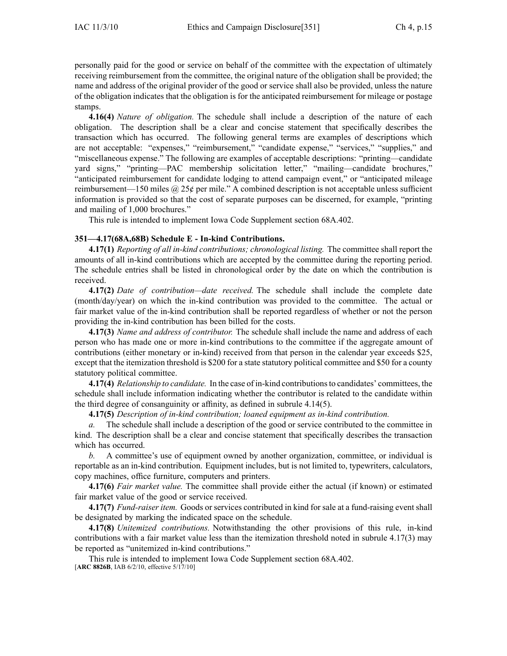personally paid for the good or service on behalf of the committee with the expectation of ultimately receiving reimbursement from the committee, the original nature of the obligation shall be provided; the name and address of the original provider of the good or service shall also be provided, unless the nature of the obligation indicates that the obligation is for the anticipated reimbursement for mileage or postage stamps.

**4.16(4)** *Nature of obligation.* The schedule shall include <sup>a</sup> description of the nature of each obligation. The description shall be <sup>a</sup> clear and concise statement that specifically describes the transaction which has occurred. The following general terms are examples of descriptions which are not acceptable: "expenses," "reimbursement," "candidate expense," "services," "supplies," and "miscellaneous expense." The following are examples of acceptable descriptions: "printing—candidate yard signs," "printing—PAC membership solicitation letter," "mailing—candidate brochures," "anticipated reimbursement for candidate lodging to attend campaign event," or "anticipated mileage reimbursement—150 miles @ 25¢ per mile." A combined description is not acceptable unless sufficient information is provided so that the cost of separate purposes can be discerned, for example, "printing and mailing of 1,000 brochures."

This rule is intended to implement Iowa Code Supplement section 68A.402.

### **351—4.17(68A,68B) Schedule E - In-kind Contributions.**

**4.17(1)** *Reporting of all in-kind contributions; chronological listing.* The committee shall repor<sup>t</sup> the amounts of all in-kind contributions which are accepted by the committee during the reporting period. The schedule entries shall be listed in chronological order by the date on which the contribution is received.

**4.17(2)** *Date of contribution—date received.* The schedule shall include the complete date (month/day/year) on which the in-kind contribution was provided to the committee. The actual or fair market value of the in-kind contribution shall be reported regardless of whether or not the person providing the in-kind contribution has been billed for the costs.

**4.17(3)** *Name and address of contributor.* The schedule shall include the name and address of each person who has made one or more in-kind contributions to the committee if the aggregate amount of contributions (either monetary or in-kind) received from that person in the calendar year exceeds \$25, excep<sup>t</sup> that the itemization threshold is \$200 for <sup>a</sup> state statutory political committee and \$50 for <sup>a</sup> county statutory political committee.

**4.17(4)** *Relationship to candidate.* In the case of in-kind contributionsto candidates' committees, the schedule shall include information indicating whether the contributor is related to the candidate within the third degree of consanguinity or affinity, as defined in subrule 4.14(5).

**4.17(5)** *Description of in-kind contribution; loaned equipment as in-kind contribution.*

*a.* The schedule shall include <sup>a</sup> description of the good or service contributed to the committee in kind. The description shall be <sup>a</sup> clear and concise statement that specifically describes the transaction which has occurred.

*b.* A committee's use of equipment owned by another organization, committee, or individual is reportable as an in-kind contribution. Equipment includes, but is not limited to, typewriters, calculators, copy machines, office furniture, computers and printers.

**4.17(6)** *Fair market value.* The committee shall provide either the actual (if known) or estimated fair market value of the good or service received.

**4.17(7)** *Fund-raiser item.* Goods or services contributed in kind for sale at <sup>a</sup> fund-raising event shall be designated by marking the indicated space on the schedule.

**4.17(8)** *Unitemized contributions.* Notwithstanding the other provisions of this rule, in-kind contributions with <sup>a</sup> fair market value less than the itemization threshold noted in subrule 4.17(3) may be reported as "unitemized in-kind contributions."

This rule is intended to implement Iowa Code Supplement section 68A.402. [**ARC 8826B**, IAB 6/2/10, effective 5/17/10]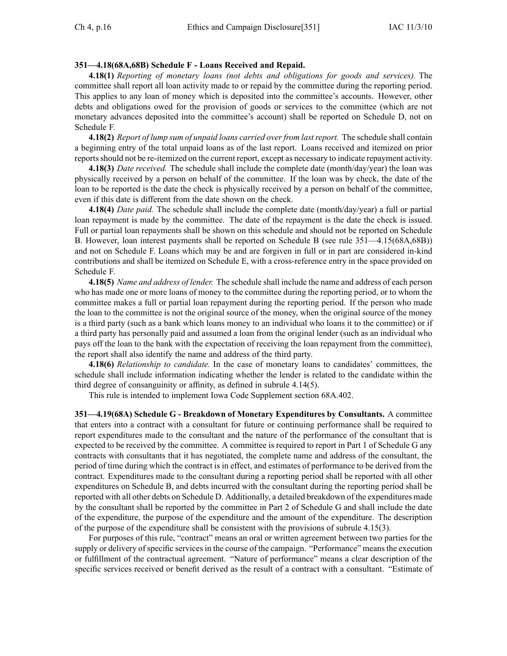## **351—4.18(68A,68B) Schedule F - Loans Received and Repaid.**

**4.18(1)** *Reporting of monetary loans (not debts and obligations for goods and services).* The committee shall repor<sup>t</sup> all loan activity made to or repaid by the committee during the reporting period. This applies to any loan of money which is deposited into the committee's accounts. However, other debts and obligations owed for the provision of goods or services to the committee (which are not monetary advances deposited into the committee's account) shall be reported on Schedule D, not on Schedule F.

**4.18(2)** *Report of lump sum of unpaid loans carried overfrom lastreport.* The schedule shall contain <sup>a</sup> beginning entry of the total unpaid loans as of the last report. Loans received and itemized on prior reportsshould not be re-itemized on the current report, excep<sup>t</sup> as necessary to indicate repaymen<sup>t</sup> activity.

**4.18(3)** *Date received.* The schedule shall include the complete date (month/day/year) the loan was physically received by <sup>a</sup> person on behalf of the committee. If the loan was by check, the date of the loan to be reported is the date the check is physically received by <sup>a</sup> person on behalf of the committee, even if this date is different from the date shown on the check.

**4.18(4)** *Date paid.* The schedule shall include the complete date (month/day/year) <sup>a</sup> full or partial loan repaymen<sup>t</sup> is made by the committee. The date of the repaymen<sup>t</sup> is the date the check is issued. Full or partial loan repayments shall be shown on this schedule and should not be reported on Schedule B. However, loan interest payments shall be reported on Schedule B (see rule 351—4.15(68A,68B)) and not on Schedule F. Loans which may be and are forgiven in full or in par<sup>t</sup> are considered in-kind contributions and shall be itemized on Schedule E, with <sup>a</sup> cross-reference entry in the space provided on Schedule F.

**4.18(5)** *Name and address of lender.* The schedule shall include the name and address of each person who has made one or more loans of money to the committee during the reporting period, or to whom the committee makes <sup>a</sup> full or partial loan repaymen<sup>t</sup> during the reporting period. If the person who made the loan to the committee is not the original source of the money, when the original source of the money is <sup>a</sup> third party (such as <sup>a</sup> bank which loans money to an individual who loans it to the committee) or if <sup>a</sup> third party has personally paid and assumed <sup>a</sup> loan from the original lender (such as an individual who pays off the loan to the bank with the expectation of receiving the loan repaymen<sup>t</sup> from the committee), the repor<sup>t</sup> shall also identify the name and address of the third party.

**4.18(6)** *Relationship to candidate.* In the case of monetary loans to candidates' committees, the schedule shall include information indicating whether the lender is related to the candidate within the third degree of consanguinity or affinity, as defined in subrule 4.14(5).

This rule is intended to implement Iowa Code Supplement section 68A.402.

**351—4.19(68A) Schedule G - Breakdown of Monetary Expenditures by Consultants.** A committee that enters into <sup>a</sup> contract with <sup>a</sup> consultant for future or continuing performance shall be required to repor<sup>t</sup> expenditures made to the consultant and the nature of the performance of the consultant that is expected to be received by the committee. A committee is required to repor<sup>t</sup> in Part 1 of Schedule G any contracts with consultants that it has negotiated, the complete name and address of the consultant, the period of time during which the contract is in effect, and estimates of performance to be derived from the contract. Expenditures made to the consultant during <sup>a</sup> reporting period shall be reported with all other expenditures on Schedule B, and debts incurred with the consultant during the reporting period shall be reported with all other debts on Schedule D. Additionally, <sup>a</sup> detailed breakdown of the expenditures made by the consultant shall be reported by the committee in Part 2 of Schedule G and shall include the date of the expenditure, the purpose of the expenditure and the amount of the expenditure. The description of the purpose of the expenditure shall be consistent with the provisions of subrule 4.15(3).

For purposes of this rule, "contract" means an oral or written agreemen<sup>t</sup> between two parties for the supply or delivery of specific services in the course of the campaign. "Performance" means the execution or fulfillment of the contractual agreement. "Nature of performance" means <sup>a</sup> clear description of the specific services received or benefit derived as the result of <sup>a</sup> contract with <sup>a</sup> consultant. "Estimate of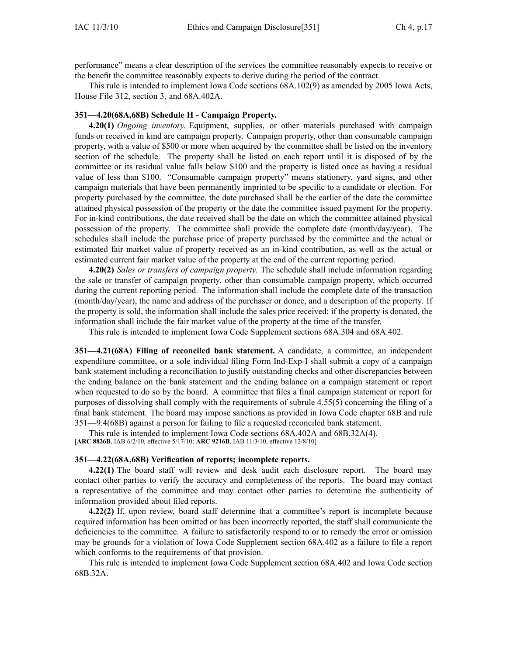performance" means <sup>a</sup> clear description of the services the committee reasonably expects to receive or the benefit the committee reasonably expects to derive during the period of the contract.

This rule is intended to implement Iowa Code sections 68A.102(9) as amended by 2005 Iowa Acts, House File 312, section 3, and 68A.402A.

#### **351—4.20(68A,68B) Schedule H - Campaign Property.**

**4.20(1)** *Ongoing inventory.* Equipment, supplies, or other materials purchased with campaign funds or received in kind are campaign property. Campaign property, other than consumable campaign property, with <sup>a</sup> value of \$500 or more when acquired by the committee shall be listed on the inventory section of the schedule. The property shall be listed on each repor<sup>t</sup> until it is disposed of by the committee or its residual value falls below \$100 and the property is listed once as having <sup>a</sup> residual value of less than \$100. "Consumable campaign property" means stationery, yard signs, and other campaign materials that have been permanently imprinted to be specific to <sup>a</sup> candidate or election. For property purchased by the committee, the date purchased shall be the earlier of the date the committee attained physical possession of the property or the date the committee issued paymen<sup>t</sup> for the property. For in-kind contributions, the date received shall be the date on which the committee attained physical possession of the property. The committee shall provide the complete date (month/day/year). The schedules shall include the purchase price of property purchased by the committee and the actual or estimated fair market value of property received as an in-kind contribution, as well as the actual or estimated current fair market value of the property at the end of the current reporting period.

**4.20(2)** *Sales or transfers of campaign property.* The schedule shall include information regarding the sale or transfer of campaign property, other than consumable campaign property, which occurred during the current reporting period. The information shall include the complete date of the transaction (month/day/year), the name and address of the purchaser or donee, and <sup>a</sup> description of the property. If the property is sold, the information shall include the sales price received; if the property is donated, the information shall include the fair market value of the property at the time of the transfer.

This rule is intended to implement Iowa Code Supplement sections 68A.304 and 68A.402.

**351—4.21(68A) Filing of reconciled bank statement.** A candidate, <sup>a</sup> committee, an independent expenditure committee, or <sup>a</sup> sole individual filing Form Ind-Exp-I shall submit <sup>a</sup> copy of <sup>a</sup> campaign bank statement including <sup>a</sup> reconciliation to justify outstanding checks and other discrepancies between the ending balance on the bank statement and the ending balance on <sup>a</sup> campaign statement or repor<sup>t</sup> when requested to do so by the board. A committee that files <sup>a</sup> final campaign statement or repor<sup>t</sup> for purposes of dissolving shall comply with the requirements of subrule 4.55(5) concerning the filing of <sup>a</sup> final bank statement. The board may impose sanctions as provided in Iowa Code chapter 68B and rule 351—9.4(68B) against <sup>a</sup> person for failing to file <sup>a</sup> requested reconciled bank statement.

This rule is intended to implement Iowa Code sections 68A.402A and 68B.32A(4). [**ARC 8826B**, IAB 6/2/10, effective 5/17/10; **ARC 9216B**, IAB 11/3/10, effective 12/8/10]

#### **351—4.22(68A,68B) Verification of reports; incomplete reports.**

**4.22(1)** The board staff will review and desk audit each disclosure report. The board may contact other parties to verify the accuracy and completeness of the reports. The board may contact <sup>a</sup> representative of the committee and may contact other parties to determine the authenticity of information provided about filed reports.

**4.22(2)** If, upon review, board staff determine that <sup>a</sup> committee's repor<sup>t</sup> is incomplete because required information has been omitted or has been incorrectly reported, the staff shall communicate the deficiencies to the committee. A failure to satisfactorily respond to or to remedy the error or omission may be grounds for <sup>a</sup> violation of Iowa Code Supplement section 68A.402 as <sup>a</sup> failure to file <sup>a</sup> repor<sup>t</sup> which conforms to the requirements of that provision.

This rule is intended to implement Iowa Code Supplement section 68A.402 and Iowa Code section 68B.32A.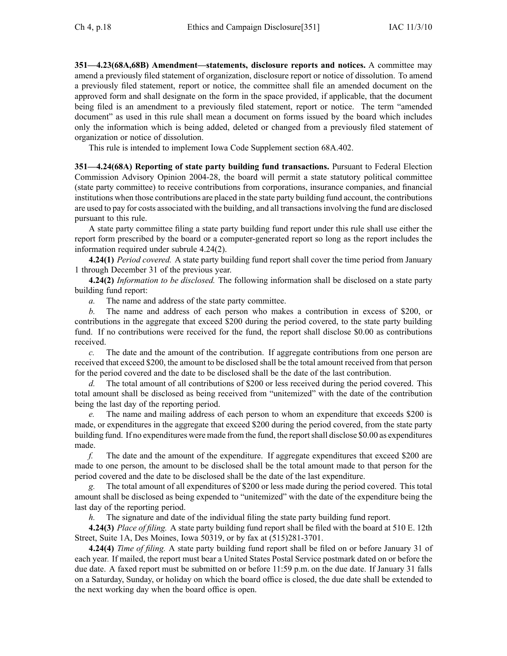**351—4.23(68A,68B) Amendment—statements, disclosure reports and notices.** A committee may amend <sup>a</sup> previously filed statement of organization, disclosure repor<sup>t</sup> or notice of dissolution. To amend <sup>a</sup> previously filed statement, repor<sup>t</sup> or notice, the committee shall file an amended document on the approved form and shall designate on the form in the space provided, if applicable, that the document being filed is an amendment to <sup>a</sup> previously filed statement, repor<sup>t</sup> or notice. The term "amended document" as used in this rule shall mean <sup>a</sup> document on forms issued by the board which includes only the information which is being added, deleted or changed from <sup>a</sup> previously filed statement of organization or notice of dissolution.

This rule is intended to implement Iowa Code Supplement section 68A.402.

**351—4.24(68A) Reporting of state party building fund transactions.** Pursuant to Federal Election Commission Advisory Opinion 2004-28, the board will permit <sup>a</sup> state statutory political committee (state party committee) to receive contributions from corporations, insurance companies, and financial institutions when those contributions are placed in the state party building fund account, the contributions are used to pay for costs associated with the building, and all transactionsinvolving the fund are disclosed pursuan<sup>t</sup> to this rule.

A state party committee filing <sup>a</sup> state party building fund repor<sup>t</sup> under this rule shall use either the repor<sup>t</sup> form prescribed by the board or <sup>a</sup> computer-generated repor<sup>t</sup> so long as the repor<sup>t</sup> includes the information required under subrule 4.24(2).

**4.24(1)** *Period covered.* A state party building fund repor<sup>t</sup> shall cover the time period from January 1 through December 31 of the previous year.

**4.24(2)** *Information to be disclosed.* The following information shall be disclosed on <sup>a</sup> state party building fund report:

*a.* The name and address of the state party committee.

*b.* The name and address of each person who makes <sup>a</sup> contribution in excess of \$200, or contributions in the aggregate that exceed \$200 during the period covered, to the state party building fund. If no contributions were received for the fund, the repor<sup>t</sup> shall disclose \$0.00 as contributions received.

*c.* The date and the amount of the contribution. If aggregate contributions from one person are received that exceed \$200, the amount to be disclosed shall be the total amount received from that person for the period covered and the date to be disclosed shall be the date of the last contribution.

*d.* The total amount of all contributions of \$200 or less received during the period covered. This total amount shall be disclosed as being received from "unitemized" with the date of the contribution being the last day of the reporting period.

*e.* The name and mailing address of each person to whom an expenditure that exceeds \$200 is made, or expenditures in the aggregate that exceed \$200 during the period covered, from the state party building fund. If no expenditures were made from the fund, the reportshall disclose \$0.00 as expenditures made.

*f.* The date and the amount of the expenditure. If aggregate expenditures that exceed \$200 are made to one person, the amount to be disclosed shall be the total amount made to that person for the period covered and the date to be disclosed shall be the date of the last expenditure.

The total amount of all expenditures of \$200 or less made during the period covered. This total amount shall be disclosed as being expended to "unitemized" with the date of the expenditure being the last day of the reporting period.

*h.* The signature and date of the individual filing the state party building fund report.

**4.24(3)** *Place of filing.* A state party building fund repor<sup>t</sup> shall be filed with the board at 510 E. 12th Street, Suite 1A, Des Moines, Iowa 50319, or by fax at (515)281-3701.

**4.24(4)** *Time of filing.* A state party building fund repor<sup>t</sup> shall be filed on or before January 31 of each year. If mailed, the repor<sup>t</sup> must bear <sup>a</sup> United States Postal Service postmark dated on or before the due date. A faxed repor<sup>t</sup> must be submitted on or before 11:59 p.m. on the due date. If January 31 falls on <sup>a</sup> Saturday, Sunday, or holiday on which the board office is closed, the due date shall be extended to the next working day when the board office is open.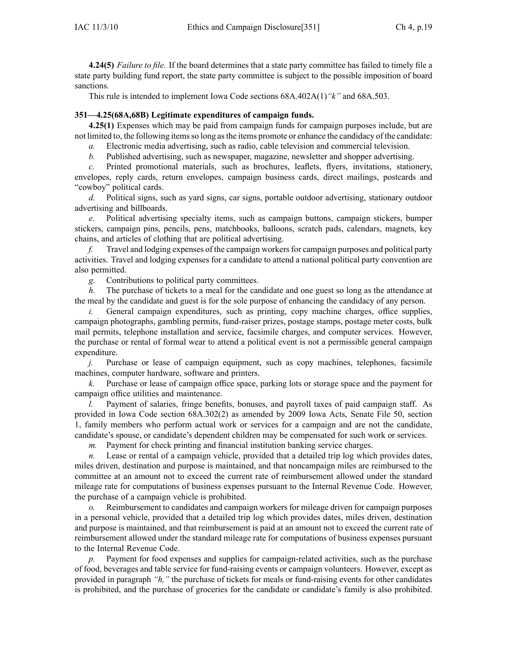**4.24(5)** *Failure to file.* If the board determines that <sup>a</sup> state party committee has failed to timely file <sup>a</sup> state party building fund report, the state party committee is subject to the possible imposition of board sanctions.

This rule is intended to implement Iowa Code sections 68A.402A(1)*"k"* and 68A.503.

## **351—4.25(68A,68B) Legitimate expenditures of campaign funds.**

**4.25(1)** Expenses which may be paid from campaign funds for campaign purposes include, but are not limited to, the following items so long as the items promote or enhance the candidacy of the candidate:

*a.* Electronic media advertising, such as radio, cable television and commercial television.

*b.* Published advertising, such as newspaper, magazine, newsletter and shopper advertising.

*c.* Printed promotional materials, such as brochures, leaflets, flyers, invitations, stationery, envelopes, reply cards, return envelopes, campaign business cards, direct mailings, postcards and "cowboy" political cards.

*d.* Political signs, such as yard signs, car signs, portable outdoor advertising, stationary outdoor advertising and billboards.

*e.* Political advertising specialty items, such as campaign buttons, campaign stickers, bumper stickers, campaign pins, pencils, pens, matchbooks, balloons, scratch pads, calendars, magnets, key chains, and articles of clothing that are political advertising.

*f.* Travel and lodging expenses of the campaign workersfor campaign purposes and political party activities. Travel and lodging expenses for <sup>a</sup> candidate to attend <sup>a</sup> national political party convention are also permitted.

*g.* Contributions to political party committees.

*h.* The purchase of tickets to a meal for the candidate and one guest so long as the attendance at the meal by the candidate and gues<sup>t</sup> is for the sole purpose of enhancing the candidacy of any person.

*i.* General campaign expenditures, such as printing, copy machine charges, office supplies, campaign photographs, gambling permits, fund-raiser prizes, postage stamps, postage meter costs, bulk mail permits, telephone installation and service, facsimile charges, and computer services. However, the purchase or rental of formal wear to attend <sup>a</sup> political event is not <sup>a</sup> permissible general campaign expenditure.

*j.* Purchase or lease of campaign equipment, such as copy machines, telephones, facsimile machines, computer hardware, software and printers.

*k.* Purchase or lease of campaign office space, parking lots or storage space and the paymen<sup>t</sup> for campaign office utilities and maintenance.

*l.* Payment of salaries, fringe benefits, bonuses, and payroll taxes of paid campaign staff. As provided in Iowa Code section 68A.302(2) as amended by 2009 Iowa Acts, Senate File 50, section 1, family members who perform actual work or services for <sup>a</sup> campaign and are not the candidate, candidate's spouse, or candidate's dependent children may be compensated for such work or services.

*m.* Payment for check printing and financial institution banking service charges.

*n.* Lease or rental of <sup>a</sup> campaign vehicle, provided that <sup>a</sup> detailed trip log which provides dates, miles driven, destination and purpose is maintained, and that noncampaign miles are reimbursed to the committee at an amount not to exceed the current rate of reimbursement allowed under the standard mileage rate for computations of business expenses pursuan<sup>t</sup> to the Internal Revenue Code. However, the purchase of <sup>a</sup> campaign vehicle is prohibited.

*o.* Reimbursement to candidates and campaign workers for mileage driven for campaign purposes in <sup>a</sup> personal vehicle, provided that <sup>a</sup> detailed trip log which provides dates, miles driven, destination and purpose is maintained, and that reimbursement is paid at an amount not to exceed the current rate of reimbursement allowed under the standard mileage rate for computations of business expenses pursuan<sup>t</sup> to the Internal Revenue Code.

*p.* Payment for food expenses and supplies for campaign-related activities, such as the purchase of food, beverages and table service for fund-raising events or campaign volunteers. However, excep<sup>t</sup> as provided in paragraph *"h,"* the purchase of tickets for meals or fund-raising events for other candidates is prohibited, and the purchase of groceries for the candidate or candidate's family is also prohibited.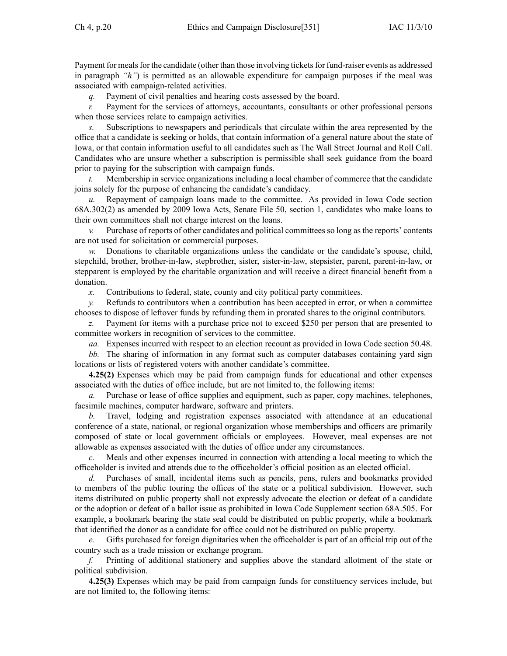Payment for meals for the candidate (other than those involving tickets for fund-raiser events as addressed in paragraph *"h"*) is permitted as an allowable expenditure for campaign purposes if the meal was associated with campaign-related activities.

*q.* Payment of civil penalties and hearing costs assessed by the board.

*r.* Payment for the services of attorneys, accountants, consultants or other professional persons when those services relate to campaign activities.

*s.* Subscriptions to newspapers and periodicals that circulate within the area represented by the office that <sup>a</sup> candidate is seeking or holds, that contain information of <sup>a</sup> general nature about the state of Iowa, or that contain information useful to all candidates such as The Wall Street Journal and Roll Call. Candidates who are unsure whether <sup>a</sup> subscription is permissible shall seek guidance from the board prior to paying for the subscription with campaign funds.

*t.* Membership in service organizations including <sup>a</sup> local chamber of commerce that the candidate joins solely for the purpose of enhancing the candidate's candidacy.

*u.* Repayment of campaign loans made to the committee. As provided in Iowa Code section 68A.302(2) as amended by 2009 Iowa Acts, Senate File 50, section 1, candidates who make loans to their own committees shall not charge interest on the loans.

*v.* Purchase of reports of other candidates and political committees so long as the reports' contents are not used for solicitation or commercial purposes.

Donations to charitable organizations unless the candidate or the candidate's spouse, child, stepchild, brother, brother-in-law, stepbrother, sister, sister-in-law, stepsister, parent, parent-in-law, or stepparent is employed by the charitable organization and will receive <sup>a</sup> direct financial benefit from <sup>a</sup> donation.

*x.* Contributions to federal, state, county and city political party committees.

*y.* Refunds to contributors when <sup>a</sup> contribution has been accepted in error, or when <sup>a</sup> committee chooses to dispose of leftover funds by refunding them in prorated shares to the original contributors.

Payment for items with a purchase price not to exceed \$250 per person that are presented to committee workers in recognition of services to the committee.

*aa.* Expenses incurred with respec<sup>t</sup> to an election recount as provided in Iowa Code section 50.48.

*bb.* The sharing of information in any format such as computer databases containing yard sign locations or lists of registered voters with another candidate's committee.

**4.25(2)** Expenses which may be paid from campaign funds for educational and other expenses associated with the duties of office include, but are not limited to, the following items:

*a.* Purchase or lease of office supplies and equipment, such as paper, copy machines, telephones, facsimile machines, computer hardware, software and printers.

*b.* Travel, lodging and registration expenses associated with attendance at an educational conference of <sup>a</sup> state, national, or regional organization whose memberships and officers are primarily composed of state or local governmen<sup>t</sup> officials or employees. However, meal expenses are not allowable as expenses associated with the duties of office under any circumstances.

*c.* Meals and other expenses incurred in connection with attending <sup>a</sup> local meeting to which the officeholder is invited and attends due to the officeholder's official position as an elected official.

*d.* Purchases of small, incidental items such as pencils, pens, rulers and bookmarks provided to members of the public touring the offices of the state or <sup>a</sup> political subdivision. However, such items distributed on public property shall not expressly advocate the election or defeat of <sup>a</sup> candidate or the adoption or defeat of <sup>a</sup> ballot issue as prohibited in Iowa Code Supplement section 68A.505. For example, <sup>a</sup> bookmark bearing the state seal could be distributed on public property, while <sup>a</sup> bookmark that identified the donor as <sup>a</sup> candidate for office could not be distributed on public property.

*e.* Gifts purchased for foreign dignitaries when the officeholder is par<sup>t</sup> of an official trip out of the country such as <sup>a</sup> trade mission or exchange program.

*f.* Printing of additional stationery and supplies above the standard allotment of the state or political subdivision.

**4.25(3)** Expenses which may be paid from campaign funds for constituency services include, but are not limited to, the following items: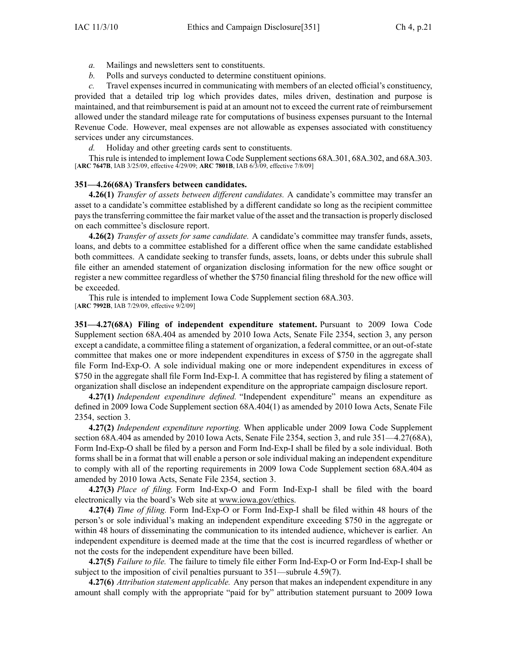- *a.* Mailings and newsletters sent to constituents.
- *b.* Polls and surveys conducted to determine constituent opinions.

*c.* Travel expenses incurred in communicating with members of an elected official's constituency, provided that <sup>a</sup> detailed trip log which provides dates, miles driven, destination and purpose is maintained, and that reimbursement is paid at an amount not to exceed the current rate of reimbursement allowed under the standard mileage rate for computations of business expenses pursuan<sup>t</sup> to the Internal Revenue Code. However, meal expenses are not allowable as expenses associated with constituency services under any circumstances.

*d.* Holiday and other greeting cards sent to constituents.

This rule is intended to implement Iowa Code Supplement sections 68A.301, 68A.302, and 68A.303. [**ARC 7647B**, IAB 3/25/09, effective 4/29/09; **ARC 7801B**, IAB 6/3/09, effective 7/8/09]

### **351—4.26(68A) Transfers between candidates.**

**4.26(1)** *Transfer of assets between different candidates.* A candidate's committee may transfer an asset to <sup>a</sup> candidate's committee established by <sup>a</sup> different candidate so long as the recipient committee paysthe transferring committee the fair market value of the asset and the transaction is properly disclosed on each committee's disclosure report.

**4.26(2)** *Transfer of assets for same candidate.* A candidate's committee may transfer funds, assets, loans, and debts to <sup>a</sup> committee established for <sup>a</sup> different office when the same candidate established both committees. A candidate seeking to transfer funds, assets, loans, or debts under this subrule shall file either an amended statement of organization disclosing information for the new office sought or register <sup>a</sup> new committee regardless of whether the \$750 financial filing threshold for the new office will be exceeded.

This rule is intended to implement Iowa Code Supplement section 68A.303. [**ARC 7992B**, IAB 7/29/09, effective 9/2/09]

**351—4.27(68A) Filing of independent expenditure statement.** Pursuant to 2009 Iowa Code Supplement section 68A.404 as amended by 2010 Iowa Acts, Senate File 2354, section 3, any person excep<sup>t</sup> <sup>a</sup> candidate, <sup>a</sup> committee filing <sup>a</sup> statement of organization, <sup>a</sup> federal committee, or an out-of-state committee that makes one or more independent expenditures in excess of \$750 in the aggregate shall file Form Ind-Exp-O. A sole individual making one or more independent expenditures in excess of \$750 in the aggregate shall file Form Ind-Exp-I. Acommittee that has registered by filing <sup>a</sup> statement of organization shall disclose an independent expenditure on the appropriate campaign disclosure report.

**4.27(1)** *Independent expenditure defined.* "Independent expenditure" means an expenditure as defined in 2009 Iowa Code Supplement section 68A.404(1) as amended by 2010 Iowa Acts, Senate File 2354, section 3.

**4.27(2)** *Independent expenditure reporting.* When applicable under 2009 Iowa Code Supplement section 68A.404 as amended by 2010 Iowa Acts, Senate File 2354, section 3, and rule 351—4.27(68A), Form Ind-Exp-O shall be filed by <sup>a</sup> person and Form Ind-Exp-I shall be filed by <sup>a</sup> sole individual. Both forms shall be in <sup>a</sup> format that will enable <sup>a</sup> person or sole individual making an independent expenditure to comply with all of the reporting requirements in 2009 Iowa Code Supplement section 68A.404 as amended by 2010 Iowa Acts, Senate File 2354, section 3.

**4.27(3)** *Place of filing.* Form Ind-Exp-O and Form Ind-Exp-I shall be filed with the board electronically via the board's Web site at www.iowa.gov/ethics.

**4.27(4)** *Time of filing.* Form Ind-Exp-O or Form Ind-Exp-I shall be filed within 48 hours of the person's or sole individual's making an independent expenditure exceeding \$750 in the aggregate or within 48 hours of disseminating the communication to its intended audience, whichever is earlier. An independent expenditure is deemed made at the time that the cost is incurred regardless of whether or not the costs for the independent expenditure have been billed.

**4.27(5)** *Failure to file.* The failure to timely file either Form Ind-Exp-O or Form Ind-Exp-I shall be subject to the imposition of civil penalties pursuan<sup>t</sup> to 351—subrule 4.59(7).

**4.27(6)** *Attribution statement applicable.* Any person that makes an independent expenditure in any amount shall comply with the appropriate "paid for by" attribution statement pursuan<sup>t</sup> to 2009 Iowa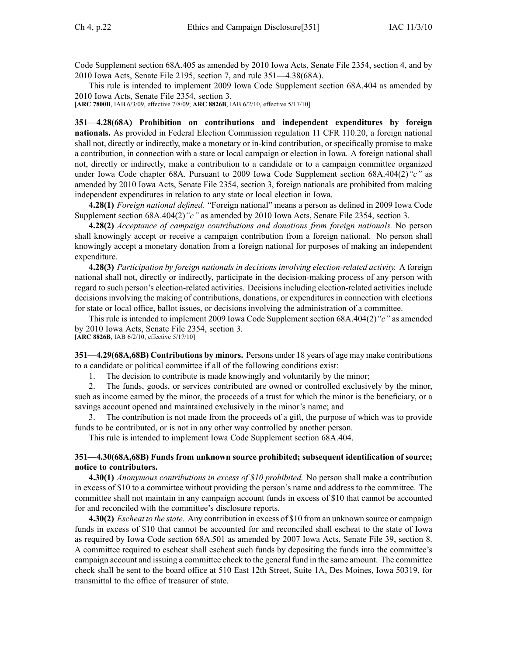Code Supplement section 68A.405 as amended by 2010 Iowa Acts, Senate File 2354, section 4, and by 2010 Iowa Acts, Senate File 2195, section 7, and rule 351—4.38(68A).

This rule is intended to implement 2009 Iowa Code Supplement section 68A.404 as amended by 2010 Iowa Acts, Senate File 2354, section 3.

[**ARC 7800B**, IAB 6/3/09, effective 7/8/09; **ARC 8826B**, IAB 6/2/10, effective 5/17/10]

**351—4.28(68A) Prohibition on contributions and independent expenditures by foreign nationals.** As provided in Federal Election Commission regulation 11 CFR 110.20, <sup>a</sup> foreign national shall not, directly or indirectly, make <sup>a</sup> monetary or in-kind contribution, or specifically promise to make <sup>a</sup> contribution, in connection with <sup>a</sup> state or local campaign or election in Iowa. A foreign national shall not, directly or indirectly, make <sup>a</sup> contribution to <sup>a</sup> candidate or to <sup>a</sup> campaign committee organized under Iowa Code chapter 68A. Pursuant to 2009 Iowa Code Supplement section 68A.404(2)*"c"* as amended by 2010 Iowa Acts, Senate File 2354, section 3, foreign nationals are prohibited from making independent expenditures in relation to any state or local election in Iowa.

**4.28(1)** *Foreign national defined.* "Foreign national" means <sup>a</sup> person as defined in 2009 Iowa Code Supplement section 68A.404(2)*"c"* as amended by 2010 Iowa Acts, Senate File 2354, section 3.

**4.28(2)** *Acceptance of campaign contributions and donations from foreign nationals.* No person shall knowingly accep<sup>t</sup> or receive <sup>a</sup> campaign contribution from <sup>a</sup> foreign national. No person shall knowingly accep<sup>t</sup> <sup>a</sup> monetary donation from <sup>a</sup> foreign national for purposes of making an independent expenditure.

**4.28(3)** *Participation by foreign nationals in decisions involving election-related activity.* A foreign national shall not, directly or indirectly, participate in the decision-making process of any person with regard to such person's election-related activities. Decisions including election-related activities include decisions involving the making of contributions, donations, or expenditures in connection with elections for state or local office, ballot issues, or decisions involving the administration of <sup>a</sup> committee.

This rule is intended to implement 2009 Iowa Code Supplement section 68A.404(2)*"c"* as amended by 2010 Iowa Acts, Senate File 2354, section 3.

[**ARC 8826B**, IAB 6/2/10, effective 5/17/10]

**351—4.29(68A,68B) Contributions by minors.** Persons under 18 years of age may make contributions to <sup>a</sup> candidate or political committee if all of the following conditions exist:

1. The decision to contribute is made knowingly and voluntarily by the minor;

2. The funds, goods, or services contributed are owned or controlled exclusively by the minor, such as income earned by the minor, the proceeds of a trust for which the minor is the beneficiary, or a savings account opened and maintained exclusively in the minor's name; and

3. The contribution is not made from the proceeds of <sup>a</sup> gift, the purpose of which was to provide funds to be contributed, or is not in any other way controlled by another person.

This rule is intended to implement Iowa Code Supplement section 68A.404.

## **351—4.30(68A,68B) Funds from unknown source prohibited; subsequent identification of source; notice to contributors.**

**4.30(1)** *Anonymous contributions in excess of \$10 prohibited.* No person shall make <sup>a</sup> contribution in excess of \$10 to <sup>a</sup> committee without providing the person's name and address to the committee. The committee shall not maintain in any campaign account funds in excess of \$10 that cannot be accounted for and reconciled with the committee's disclosure reports.

**4.30(2)** *Escheat to the state.* Any contribution in excess of \$10 from an unknown source or campaign funds in excess of \$10 that cannot be accounted for and reconciled shall escheat to the state of Iowa as required by Iowa Code section 68A.501 as amended by 2007 Iowa Acts, Senate File 39, section 8. A committee required to escheat shall escheat such funds by depositing the funds into the committee's campaign account and issuing <sup>a</sup> committee check to the general fund in the same amount. The committee check shall be sent to the board office at 510 East 12th Street, Suite 1A, Des Moines, Iowa 50319, for transmittal to the office of treasurer of state.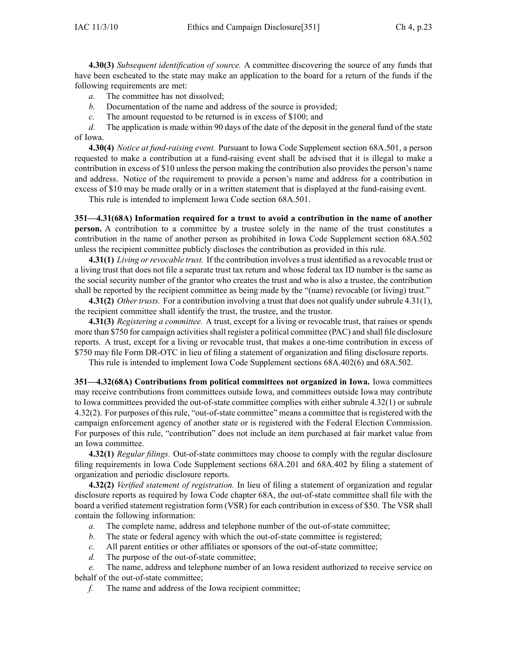**4.30(3)** *Subsequent identification of source.* A committee discovering the source of any funds that have been escheated to the state may make an application to the board for <sup>a</sup> return of the funds if the following requirements are met:

*a.* The committee has not dissolved;

*b.* Documentation of the name and address of the source is provided;

*c.* The amount requested to be returned is in excess of \$100; and

*d.* The application is made within 90 days of the date of the deposit in the general fund of the state of Iowa.

**4.30(4)** *Notice at fund-raising event.* Pursuant to Iowa Code Supplement section 68A.501, <sup>a</sup> person requested to make <sup>a</sup> contribution at <sup>a</sup> fund-raising event shall be advised that it is illegal to make <sup>a</sup> contribution in excess of \$10 unless the person making the contribution also provides the person's name and address. Notice of the requirement to provide <sup>a</sup> person's name and address for <sup>a</sup> contribution in excess of \$10 may be made orally or in <sup>a</sup> written statement that is displayed at the fund-raising event.

This rule is intended to implement Iowa Code section 68A.501.

**351—4.31(68A) Information required for <sup>a</sup> trust to avoid <sup>a</sup> contribution in the name of another person.** A contribution to a committee by a trustee solely in the name of the trust constitutes a contribution in the name of another person as prohibited in Iowa Code Supplement section 68A.502 unless the recipient committee publicly discloses the contribution as provided in this rule.

**4.31(1)** *Living orrevocable trust.* If the contribution involves <sup>a</sup> trust identified as <sup>a</sup> revocable trust or <sup>a</sup> living trust that does not file <sup>a</sup> separate trust tax return and whose federal tax ID number is the same as the social security number of the grantor who creates the trust and who is also <sup>a</sup> trustee, the contribution shall be reported by the recipient committee as being made by the "(name) revocable (or living) trust."

**4.31(2)** *Other trusts.* For <sup>a</sup> contribution involving <sup>a</sup> trust that does not qualify under subrule 4.31(1), the recipient committee shall identify the trust, the trustee, and the trustor.

**4.31(3)** *Registering <sup>a</sup> committee.* A trust, excep<sup>t</sup> for <sup>a</sup> living or revocable trust, that raises or spends more than \$750 for campaign activities shall register a political committee (PAC) and shall file disclosure reports. A trust, excep<sup>t</sup> for <sup>a</sup> living or revocable trust, that makes <sup>a</sup> one-time contribution in excess of \$750 may file Form DR-OTC in lieu of filing <sup>a</sup> statement of organization and filing disclosure reports.

This rule is intended to implement Iowa Code Supplement sections 68A.402(6) and 68A.502.

**351—4.32(68A) Contributions from political committees not organized in Iowa.** Iowa committees may receive contributions from committees outside Iowa, and committees outside Iowa may contribute to Iowa committees provided the out-of-state committee complies with either subrule 4.32(1) or subrule 4.32(2). For purposes of this rule, "out-of-state committee" means <sup>a</sup> committee that is registered with the campaign enforcement agency of another state or is registered with the Federal Election Commission. For purposes of this rule, "contribution" does not include an item purchased at fair market value from an Iowa committee.

**4.32(1)** *Regular filings.* Out-of-state committees may choose to comply with the regular disclosure filing requirements in Iowa Code Supplement sections 68A.201 and 68A.402 by filing <sup>a</sup> statement of organization and periodic disclosure reports.

**4.32(2)** *Verified statement of registration.* In lieu of filing <sup>a</sup> statement of organization and regular disclosure reports as required by Iowa Code chapter 68A, the out-of-state committee shall file with the board <sup>a</sup> verified statement registration form (VSR) for each contribution in excess of \$50. The VSR shall contain the following information:

- *a.* The complete name, address and telephone number of the out-of-state committee;
- *b.* The state or federal agency with which the out-of-state committee is registered;
- *c.* All paren<sup>t</sup> entities or other affiliates or sponsors of the out-of-state committee;
- *d.* The purpose of the out-of-state committee;

*e.* The name, address and telephone number of an Iowa resident authorized to receive service on behalf of the out-of-state committee;

*f.* The name and address of the Iowa recipient committee;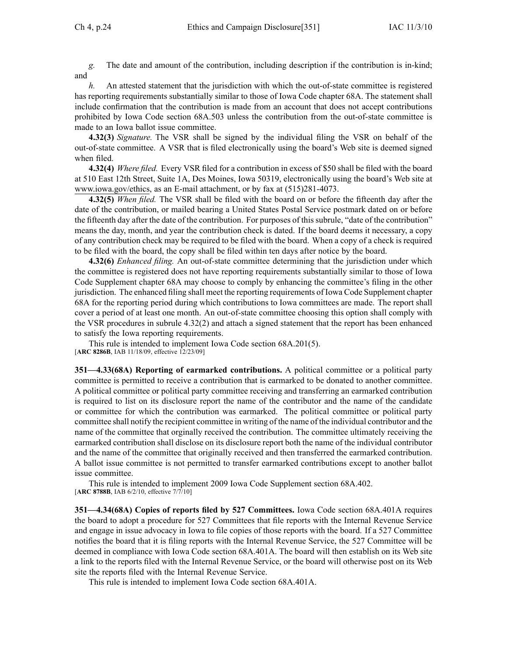*g.* The date and amount of the contribution, including description if the contribution is in-kind; and

*h.* An attested statement that the jurisdiction with which the out-of-state committee is registered has reporting requirements substantially similar to those of Iowa Code chapter 68A. The statement shall include confirmation that the contribution is made from an account that does not accep<sup>t</sup> contributions prohibited by Iowa Code section 68A.503 unless the contribution from the out-of-state committee is made to an Iowa ballot issue committee.

**4.32(3)** *Signature.* The VSR shall be signed by the individual filing the VSR on behalf of the out-of-state committee. A VSR that is filed electronically using the board's Web site is deemed signed when filed.

**4.32(4)** *Where filed.* Every VSR filed for <sup>a</sup> contribution in excess of \$50 shall be filed with the board at 510 East 12th Street, Suite 1A, Des Moines, Iowa 50319, electronically using the board's Web site at www.iowa.gov/ethics, as an E-mail attachment, or by fax at (515)281-4073.

**4.32(5)** *When filed.* The VSR shall be filed with the board on or before the fifteenth day after the date of the contribution, or mailed bearing <sup>a</sup> United States Postal Service postmark dated on or before the fifteenth day after the date of the contribution. For purposes of this subrule, "date of the contribution" means the day, month, and year the contribution check is dated. If the board deems it necessary, <sup>a</sup> copy of any contribution check may be required to be filed with the board. When <sup>a</sup> copy of <sup>a</sup> check is required to be filed with the board, the copy shall be filed within ten days after notice by the board.

**4.32(6)** *Enhanced filing.* An out-of-state committee determining that the jurisdiction under which the committee is registered does not have reporting requirements substantially similar to those of Iowa Code Supplement chapter 68A may choose to comply by enhancing the committee's filing in the other jurisdiction. The enhanced filing shall meet the reporting requirements of Iowa Code Supplement chapter 68A for the reporting period during which contributions to Iowa committees are made. The repor<sup>t</sup> shall cover <sup>a</sup> period of at least one month. An out-of-state committee choosing this option shall comply with the VSR procedures in subrule 4.32(2) and attach <sup>a</sup> signed statement that the repor<sup>t</sup> has been enhanced to satisfy the Iowa reporting requirements.

This rule is intended to implement Iowa Code section 68A.201(5). [**ARC 8286B**, IAB 11/18/09, effective 12/23/09]

**351—4.33(68A) Reporting of earmarked contributions.** A political committee or <sup>a</sup> political party committee is permitted to receive <sup>a</sup> contribution that is earmarked to be donated to another committee. A political committee or political party committee receiving and transferring an earmarked contribution is required to list on its disclosure repor<sup>t</sup> the name of the contributor and the name of the candidate or committee for which the contribution was earmarked. The political committee or political party committee shall notify the recipient committee in writing of the name of the individual contributor and the name of the committee that orginally received the contribution. The committee ultimately receiving the earmarked contribution shall disclose on its disclosure repor<sup>t</sup> both the name of the individual contributor and the name of the committee that originally received and then transferred the earmarked contribution. A ballot issue committee is not permitted to transfer earmarked contributions excep<sup>t</sup> to another ballot issue committee.

This rule is intended to implement 2009 Iowa Code Supplement section 68A.402. [**ARC 8788B**, IAB 6/2/10, effective 7/7/10]

**351—4.34(68A) Copies of reports filed by 527 Committees.** Iowa Code section 68A.401A requires the board to adopt <sup>a</sup> procedure for 527 Committees that file reports with the Internal Revenue Service and engage in issue advocacy in Iowa to file copies of those reports with the board. If <sup>a</sup> 527 Committee notifies the board that it is filing reports with the Internal Revenue Service, the 527 Committee will be deemed in compliance with Iowa Code section 68A.401A. The board will then establish on its Web site <sup>a</sup> link to the reports filed with the Internal Revenue Service, or the board will otherwise pos<sup>t</sup> on its Web site the reports filed with the Internal Revenue Service.

This rule is intended to implement Iowa Code section 68A.401A.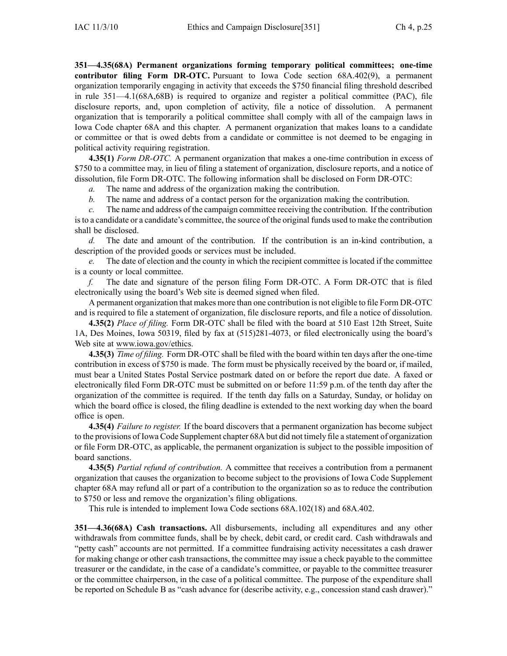**351—4.35(68A) Permanent organizations forming temporary political committees; one-time contributor filing Form DR-OTC.** Pursuant to Iowa Code section 68A.402(9), <sup>a</sup> permanen<sup>t</sup> organization temporarily engaging in activity that exceeds the \$750 financial filing threshold described in rule 351—4.1(68A,68B) is required to organize and register <sup>a</sup> political committee (PAC), file disclosure reports, and, upon completion of activity, file <sup>a</sup> notice of dissolution. A permanen<sup>t</sup> organization that is temporarily <sup>a</sup> political committee shall comply with all of the campaign laws in Iowa Code chapter 68A and this chapter. A permanen<sup>t</sup> organization that makes loans to <sup>a</sup> candidate or committee or that is owed debts from <sup>a</sup> candidate or committee is not deemed to be engaging in political activity requiring registration.

**4.35(1)** *Form DR-OTC.* A permanen<sup>t</sup> organization that makes <sup>a</sup> one-time contribution in excess of \$750 to <sup>a</sup> committee may, in lieu of filing <sup>a</sup> statement of organization, disclosure reports, and <sup>a</sup> notice of dissolution, file Form DR-OTC. The following information shall be disclosed on Form DR-OTC:

*a.* The name and address of the organization making the contribution.

*b.* The name and address of <sup>a</sup> contact person for the organization making the contribution.

*c.* The name and address of the campaign committee receiving the contribution. If the contribution isto <sup>a</sup> candidate or <sup>a</sup> candidate's committee, the source of the original funds used to make the contribution shall be disclosed.

*d.* The date and amount of the contribution. If the contribution is an in-kind contribution, a description of the provided goods or services must be included.

*e.* The date of election and the county in which the recipient committee is located if the committee is <sup>a</sup> county or local committee.

*f.* The date and signature of the person filing Form DR-OTC. A Form DR-OTC that is filed electronically using the board's Web site is deemed signed when filed.

A permanen<sup>t</sup> organization that makes more than one contribution is not eligible to file Form DR-OTC and is required to file <sup>a</sup> statement of organization, file disclosure reports, and file <sup>a</sup> notice of dissolution.

**4.35(2)** *Place of filing.* Form DR-OTC shall be filed with the board at 510 East 12th Street, Suite 1A, Des Moines, Iowa 50319, filed by fax at (515)281-4073, or filed electronically using the board's Web site at www.iowa.gov/ethics.

**4.35(3)** *Time of filing.* Form DR-OTC shall be filed with the board within ten days after the one-time contribution in excess of \$750 is made. The form must be physically received by the board or, if mailed, must bear <sup>a</sup> United States Postal Service postmark dated on or before the repor<sup>t</sup> due date. A faxed or electronically filed Form DR-OTC must be submitted on or before 11:59 p.m. of the tenth day after the organization of the committee is required. If the tenth day falls on <sup>a</sup> Saturday, Sunday, or holiday on which the board office is closed, the filing deadline is extended to the next working day when the board office is open.

**4.35(4)** *Failure to register.* If the board discovers that <sup>a</sup> permanen<sup>t</sup> organization has become subject to the provisions of Iowa Code Supplement chapter 68A but did not timely file <sup>a</sup> statement of organization or file Form DR-OTC, as applicable, the permanen<sup>t</sup> organization is subject to the possible imposition of board sanctions.

**4.35(5)** *Partial refund of contribution.* A committee that receives <sup>a</sup> contribution from <sup>a</sup> permanen<sup>t</sup> organization that causes the organization to become subject to the provisions of Iowa Code Supplement chapter 68A may refund all or par<sup>t</sup> of <sup>a</sup> contribution to the organization so as to reduce the contribution to \$750 or less and remove the organization's filing obligations.

This rule is intended to implement Iowa Code sections 68A.102(18) and 68A.402.

**351—4.36(68A) Cash transactions.** All disbursements, including all expenditures and any other withdrawals from committee funds, shall be by check, debit card, or credit card. Cash withdrawals and "petty cash" accounts are not permitted. If <sup>a</sup> committee fundraising activity necessitates <sup>a</sup> cash drawer for making change or other cash transactions, the committee may issue <sup>a</sup> check payable to the committee treasurer or the candidate, in the case of <sup>a</sup> candidate's committee, or payable to the committee treasurer or the committee chairperson, in the case of <sup>a</sup> political committee. The purpose of the expenditure shall be reported on Schedule B as "cash advance for (describe activity, e.g., concession stand cash drawer)."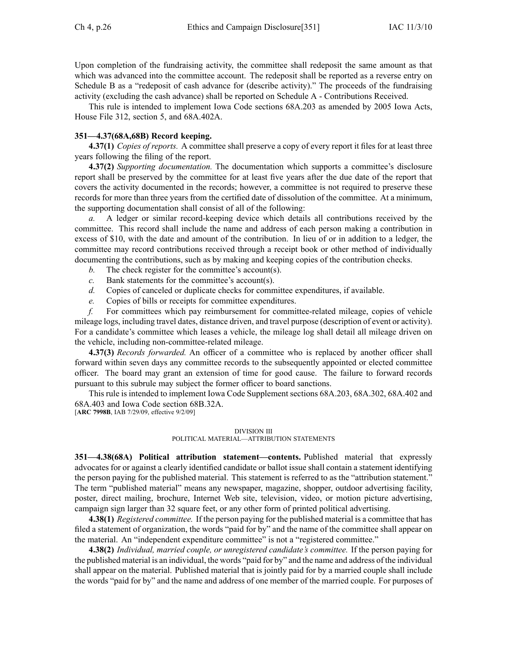Upon completion of the fundraising activity, the committee shall redeposit the same amount as that which was advanced into the committee account. The redeposit shall be reported as a reverse entry on Schedule B as <sup>a</sup> "redeposit of cash advance for (describe activity)." The proceeds of the fundraising activity (excluding the cash advance) shall be reported on Schedule A - Contributions Received.

This rule is intended to implement Iowa Code sections 68A.203 as amended by 2005 Iowa Acts, House File 312, section 5, and 68A.402A.

## **351—4.37(68A,68B) Record keeping.**

**4.37(1)** *Copies of reports.* A committee shall preserve <sup>a</sup> copy of every repor<sup>t</sup> it files for at least three years following the filing of the report.

**4.37(2)** *Supporting documentation.* The documentation which supports <sup>a</sup> committee's disclosure repor<sup>t</sup> shall be preserved by the committee for at least five years after the due date of the repor<sup>t</sup> that covers the activity documented in the records; however, <sup>a</sup> committee is not required to preserve these records for more than three years from the certified date of dissolution of the committee. At <sup>a</sup> minimum, the supporting documentation shall consist of all of the following:

*a.* A ledger or similar record-keeping device which details all contributions received by the committee. This record shall include the name and address of each person making <sup>a</sup> contribution in excess of \$10, with the date and amount of the contribution. In lieu of or in addition to <sup>a</sup> ledger, the committee may record contributions received through <sup>a</sup> receipt book or other method of individually documenting the contributions, such as by making and keeping copies of the contribution checks.

- *b.* The check register for the committee's account(s).
- *c.* Bank statements for the committee's account(s).
- *d.* Copies of canceled or duplicate checks for committee expenditures, if available.
- *e.* Copies of bills or receipts for committee expenditures.

*f.* For committees which pay reimbursement for committee-related mileage, copies of vehicle mileage logs, including travel dates, distance driven, and travel purpose (description of event or activity). For <sup>a</sup> candidate's committee which leases <sup>a</sup> vehicle, the mileage log shall detail all mileage driven on the vehicle, including non-committee-related mileage.

**4.37(3)** *Records forwarded.* An officer of <sup>a</sup> committee who is replaced by another officer shall forward within seven days any committee records to the subsequently appointed or elected committee officer. The board may gran<sup>t</sup> an extension of time for good cause. The failure to forward records pursuan<sup>t</sup> to this subrule may subject the former officer to board sanctions.

This rule is intended to implement Iowa Code Supplement sections 68A.203, 68A.302, 68A.402 and 68A.403 and Iowa Code section 68B.32A.

[**ARC 7998B**, IAB 7/29/09, effective 9/2/09]

#### DIVISION III POLITICAL MATERIAL—ATTRIBUTION STATEMENTS

**351—4.38(68A) Political attribution statement—contents.** Published material that expressly advocates for or against <sup>a</sup> clearly identified candidate or ballot issue shall contain <sup>a</sup> statement identifying the person paying for the published material. This statement is referred to as the "attribution statement." The term "published material" means any newspaper, magazine, shopper, outdoor advertising facility, poster, direct mailing, brochure, Internet Web site, television, video, or motion picture advertising, campaign sign larger than 32 square feet, or any other form of printed political advertising.

**4.38(1)** *Registered committee.* If the person paying for the published material is <sup>a</sup> committee that has filed <sup>a</sup> statement of organization, the words "paid for by" and the name of the committee shall appear on the material. An "independent expenditure committee" is not <sup>a</sup> "registered committee."

**4.38(2)** *Individual, married couple, or unregistered candidate's committee.* If the person paying for the published material is an individual, the words "paid for by" and the name and address of the individual shall appear on the material. Published material that is jointly paid for by <sup>a</sup> married couple shall include the words "paid for by" and the name and address of one member of the married couple. For purposes of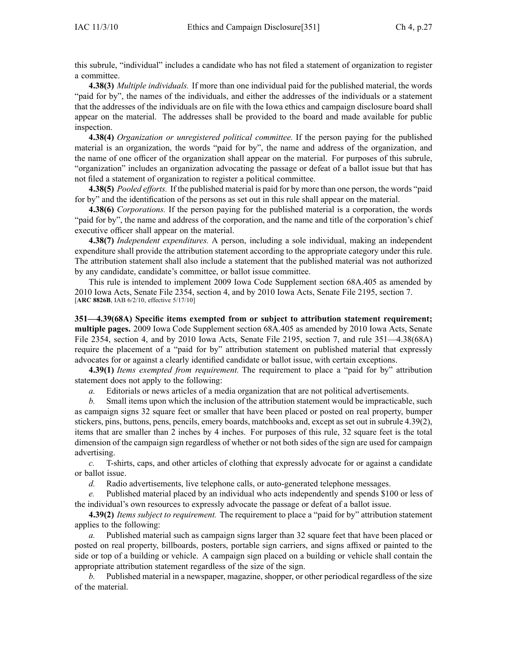this subrule, "individual" includes <sup>a</sup> candidate who has not filed <sup>a</sup> statement of organization to register <sup>a</sup> committee.

**4.38(3)** *Multiple individuals.* If more than one individual paid for the published material, the words "paid for by", the names of the individuals, and either the addresses of the individuals or <sup>a</sup> statement that the addresses of the individuals are on file with the Iowa ethics and campaign disclosure board shall appear on the material. The addresses shall be provided to the board and made available for public inspection.

**4.38(4)** *Organization or unregistered political committee.* If the person paying for the published material is an organization, the words "paid for by", the name and address of the organization, and the name of one officer of the organization shall appear on the material. For purposes of this subrule, "organization" includes an organization advocating the passage or defeat of <sup>a</sup> ballot issue but that has not filed <sup>a</sup> statement of organization to register <sup>a</sup> political committee.

**4.38(5)** *Pooled efforts.* If the published material is paid for by more than one person, the words "paid for by" and the identification of the persons as set out in this rule shall appear on the material.

**4.38(6)** *Corporations.* If the person paying for the published material is <sup>a</sup> corporation, the words "paid for by", the name and address of the corporation, and the name and title of the corporation's chief executive officer shall appear on the material.

**4.38(7)** *Independent expenditures.* A person, including <sup>a</sup> sole individual, making an independent expenditure shall provide the attribution statement according to the appropriate category under this rule. The attribution statement shall also include <sup>a</sup> statement that the published material was not authorized by any candidate, candidate's committee, or ballot issue committee.

This rule is intended to implement 2009 Iowa Code Supplement section 68A.405 as amended by 2010 Iowa Acts, Senate File 2354, section 4, and by 2010 Iowa Acts, Senate File 2195, section 7. [**ARC 8826B**, IAB 6/2/10, effective 5/17/10]

**351—4.39(68A) Specific items exempted from or subject to attribution statement requirement; multiple pages.** 2009 Iowa Code Supplement section 68A.405 as amended by 2010 Iowa Acts, Senate File 2354, section 4, and by 2010 Iowa Acts, Senate File 2195, section 7, and rule 351—4.38(68A) require the placement of <sup>a</sup> "paid for by" attribution statement on published material that expressly advocates for or against <sup>a</sup> clearly identified candidate or ballot issue, with certain exceptions.

**4.39(1)** *Items exempted from requirement.* The requirement to place <sup>a</sup> "paid for by" attribution statement does not apply to the following:

*a.* Editorials or news articles of <sup>a</sup> media organization that are not political advertisements.

*b.* Small items upon which the inclusion of the attribution statement would be impracticable, such as campaign signs 32 square feet or smaller that have been placed or posted on real property, bumper stickers, pins, buttons, pens, pencils, emery boards, matchbooks and, excep<sup>t</sup> as set out in subrule 4.39(2), items that are smaller than 2 inches by 4 inches. For purposes of this rule, 32 square feet is the total dimension of the campaign sign regardless of whether or not both sides of the sign are used for campaign advertising.

*c.* T-shirts, caps, and other articles of clothing that expressly advocate for or against <sup>a</sup> candidate or ballot issue.

*d.* Radio advertisements, live telephone calls, or auto-generated telephone messages.

*e.* Published material placed by an individual who acts independently and spends \$100 or less of the individual's own resources to expressly advocate the passage or defeat of <sup>a</sup> ballot issue.

**4.39(2)** *Items subject to requirement.* The requirement to place <sup>a</sup> "paid for by" attribution statement applies to the following:

*a.* Published material such as campaign signs larger than 32 square feet that have been placed or posted on real property, billboards, posters, portable sign carriers, and signs affixed or painted to the side or top of <sup>a</sup> building or vehicle. A campaign sign placed on <sup>a</sup> building or vehicle shall contain the appropriate attribution statement regardless of the size of the sign.

*b.* Published material in <sup>a</sup> newspaper, magazine, shopper, or other periodical regardless of the size of the material.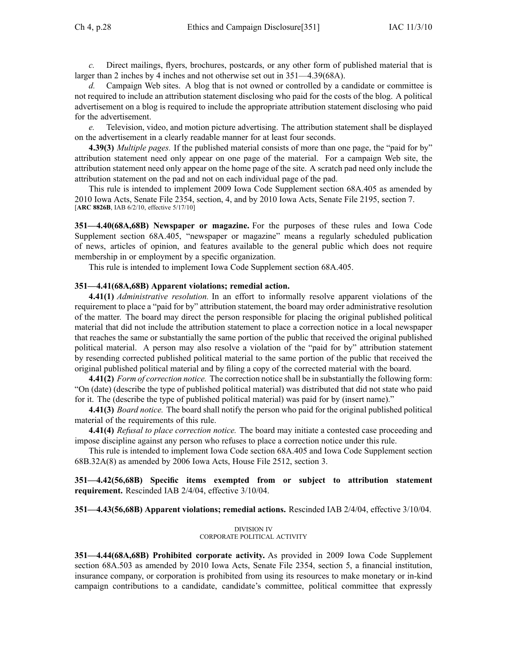*c.* Direct mailings, flyers, brochures, postcards, or any other form of published material that is larger than 2 inches by 4 inches and not otherwise set out in 351—4.39(68A).

*d.* Campaign Web sites. A blog that is not owned or controlled by <sup>a</sup> candidate or committee is not required to include an attribution statement disclosing who paid for the costs of the blog. A political advertisement on <sup>a</sup> blog is required to include the appropriate attribution statement disclosing who paid for the advertisement.

*e.* Television, video, and motion picture advertising. The attribution statement shall be displayed on the advertisement in <sup>a</sup> clearly readable manner for at least four seconds.

**4.39(3)** *Multiple pages.* If the published material consists of more than one page, the "paid for by" attribution statement need only appear on one page of the material. For <sup>a</sup> campaign Web site, the attribution statement need only appear on the home page of the site. A scratch pad need only include the attribution statement on the pad and not on each individual page of the pad.

This rule is intended to implement 2009 Iowa Code Supplement section 68A.405 as amended by 2010 Iowa Acts, Senate File 2354, section, 4, and by 2010 Iowa Acts, Senate File 2195, section 7. [**ARC 8826B**, IAB 6/2/10, effective 5/17/10]

**351—4.40(68A,68B) Newspaper or magazine.** For the purposes of these rules and Iowa Code Supplement section 68A.405, "newspaper or magazine" means <sup>a</sup> regularly scheduled publication of news, articles of opinion, and features available to the general public which does not require membership in or employment by <sup>a</sup> specific organization.

This rule is intended to implement Iowa Code Supplement section 68A.405.

#### **351—4.41(68A,68B) Apparent violations; remedial action.**

**4.41(1)** *Administrative resolution.* In an effort to informally resolve apparen<sup>t</sup> violations of the requirement to place <sup>a</sup> "paid for by" attribution statement, the board may order administrative resolution of the matter. The board may direct the person responsible for placing the original published political material that did not include the attribution statement to place <sup>a</sup> correction notice in <sup>a</sup> local newspaper that reaches the same or substantially the same portion of the public that received the original published political material. A person may also resolve <sup>a</sup> violation of the "paid for by" attribution statement by resending corrected published political material to the same portion of the public that received the original published political material and by filing <sup>a</sup> copy of the corrected material with the board.

**4.41(2)** *Form of correction notice.* The correction notice shall be in substantially the following form: "On (date) (describe the type of published political material) was distributed that did not state who paid for it. The (describe the type of published political material) was paid for by (insert name)."

**4.41(3)** *Board notice.* The board shall notify the person who paid for the original published political material of the requirements of this rule.

**4.41(4)** *Refusal to place correction notice.* The board may initiate <sup>a</sup> contested case proceeding and impose discipline against any person who refuses to place <sup>a</sup> correction notice under this rule.

This rule is intended to implement Iowa Code section 68A.405 and Iowa Code Supplement section 68B.32A(8) as amended by 2006 Iowa Acts, House File 2512, section 3.

## **351—4.42(56,68B) Specific items exempted from or subject to attribution statement requirement.** Rescinded IAB 2/4/04, effective 3/10/04.

**351—4.43(56,68B) Apparent violations; remedial actions.** Rescinded IAB 2/4/04, effective 3/10/04.

#### DIVISION IV CORPORATE POLITICAL ACTIVITY

**351—4.44(68A,68B) Prohibited corporate activity.** As provided in 2009 Iowa Code Supplement section 68A.503 as amended by 2010 Iowa Acts, Senate File 2354, section 5, <sup>a</sup> financial institution, insurance company, or corporation is prohibited from using its resources to make monetary or in-kind campaign contributions to <sup>a</sup> candidate, candidate's committee, political committee that expressly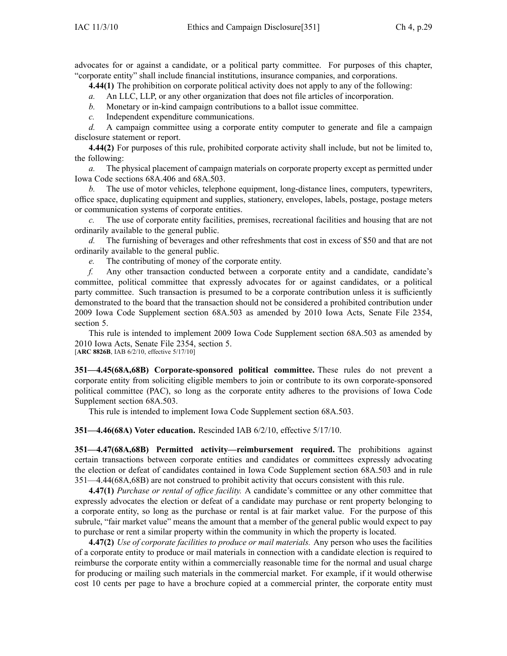advocates for or against <sup>a</sup> candidate, or <sup>a</sup> political party committee. For purposes of this chapter, "corporate entity" shall include financial institutions, insurance companies, and corporations.

**4.44(1)** The prohibition on corporate political activity does not apply to any of the following:

- *a.* An LLC, LLP, or any other organization that does not file articles of incorporation.
- *b.* Monetary or in-kind campaign contributions to <sup>a</sup> ballot issue committee.
- *c.* Independent expenditure communications.

*d.* A campaign committee using <sup>a</sup> corporate entity computer to generate and file <sup>a</sup> campaign disclosure statement or report.

**4.44(2)** For purposes of this rule, prohibited corporate activity shall include, but not be limited to, the following:

*a.* The physical placement of campaign materials on corporate property excep<sup>t</sup> as permitted under Iowa Code sections 68A.406 and 68A.503.

*b.* The use of motor vehicles, telephone equipment, long-distance lines, computers, typewriters, office space, duplicating equipment and supplies, stationery, envelopes, labels, postage, postage meters or communication systems of corporate entities.

*c.* The use of corporate entity facilities, premises, recreational facilities and housing that are not ordinarily available to the general public.

*d.* The furnishing of beverages and other refreshments that cost in excess of \$50 and that are not ordinarily available to the general public.

*e.* The contributing of money of the corporate entity.

*f.* Any other transaction conducted between <sup>a</sup> corporate entity and <sup>a</sup> candidate, candidate's committee, political committee that expressly advocates for or against candidates, or <sup>a</sup> political party committee. Such transaction is presumed to be <sup>a</sup> corporate contribution unless it is sufficiently demonstrated to the board that the transaction should not be considered <sup>a</sup> prohibited contribution under 2009 Iowa Code Supplement section 68A.503 as amended by 2010 Iowa Acts, Senate File 2354, section 5.

This rule is intended to implement 2009 Iowa Code Supplement section 68A.503 as amended by 2010 Iowa Acts, Senate File 2354, section 5.

[**ARC 8826B**, IAB 6/2/10, effective 5/17/10]

**351—4.45(68A,68B) Corporate-sponsored political committee.** These rules do not preven<sup>t</sup> <sup>a</sup> corporate entity from soliciting eligible members to join or contribute to its own corporate-sponsored political committee (PAC), so long as the corporate entity adheres to the provisions of Iowa Code Supplement section 68A.503.

This rule is intended to implement Iowa Code Supplement section 68A.503.

**351—4.46(68A) Voter education.** Rescinded IAB 6/2/10, effective 5/17/10.

**351—4.47(68A,68B) Permitted activity—reimbursement required.** The prohibitions against certain transactions between corporate entities and candidates or committees expressly advocating the election or defeat of candidates contained in Iowa Code Supplement section 68A.503 and in rule 351—4.44(68A,68B) are not construed to prohibit activity that occurs consistent with this rule.

**4.47(1)** *Purchase or rental of office facility.* A candidate's committee or any other committee that expressly advocates the election or defeat of <sup>a</sup> candidate may purchase or rent property belonging to <sup>a</sup> corporate entity, so long as the purchase or rental is at fair market value. For the purpose of this subrule, "fair market value" means the amount that <sup>a</sup> member of the general public would expec<sup>t</sup> to pay to purchase or rent <sup>a</sup> similar property within the community in which the property is located.

**4.47(2)** *Use of corporate facilities to produce or mail materials.* Any person who uses the facilities of <sup>a</sup> corporate entity to produce or mail materials in connection with <sup>a</sup> candidate election is required to reimburse the corporate entity within <sup>a</sup> commercially reasonable time for the normal and usual charge for producing or mailing such materials in the commercial market. For example, if it would otherwise cost 10 cents per page to have <sup>a</sup> brochure copied at <sup>a</sup> commercial printer, the corporate entity must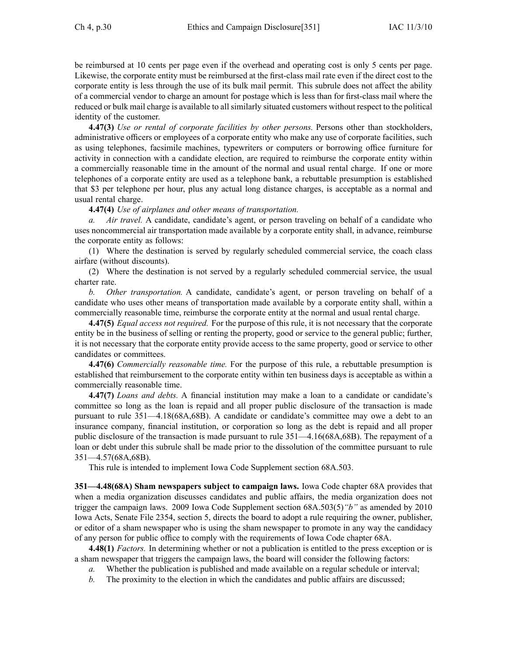be reimbursed at 10 cents per page even if the overhead and operating cost is only 5 cents per page. Likewise, the corporate entity must be reimbursed at the first-class mail rate even if the direct cost to the corporate entity is less through the use of its bulk mail permit. This subrule does not affect the ability of <sup>a</sup> commercial vendor to charge an amount for postage which is less than for first-class mail where the reduced or bulk mail charge is available to all similarly situated customers without respec<sup>t</sup> to the political identity of the customer.

**4.47(3)** *Use or rental of corporate facilities by other persons.* Persons other than stockholders, administrative officers or employees of <sup>a</sup> corporate entity who make any use of corporate facilities, such as using telephones, facsimile machines, typewriters or computers or borrowing office furniture for activity in connection with <sup>a</sup> candidate election, are required to reimburse the corporate entity within <sup>a</sup> commercially reasonable time in the amount of the normal and usual rental charge. If one or more telephones of <sup>a</sup> corporate entity are used as <sup>a</sup> telephone bank, <sup>a</sup> rebuttable presumption is established that \$3 per telephone per hour, plus any actual long distance charges, is acceptable as <sup>a</sup> normal and usual rental charge.

## **4.47(4)** *Use of airplanes and other means of transportation.*

*a. Air travel.* A candidate, candidate's agent, or person traveling on behalf of <sup>a</sup> candidate who uses noncommercial air transportation made available by <sup>a</sup> corporate entity shall, in advance, reimburse the corporate entity as follows:

(1) Where the destination is served by regularly scheduled commercial service, the coach class airfare (without discounts).

(2) Where the destination is not served by <sup>a</sup> regularly scheduled commercial service, the usual charter rate.

*b. Other transportation.* A candidate, candidate's agent, or person traveling on behalf of <sup>a</sup> candidate who uses other means of transportation made available by <sup>a</sup> corporate entity shall, within <sup>a</sup> commercially reasonable time, reimburse the corporate entity at the normal and usual rental charge.

**4.47(5)** *Equal access not required.* For the purpose of this rule, it is not necessary that the corporate entity be in the business of selling or renting the property, good or service to the general public; further, it is not necessary that the corporate entity provide access to the same property, good or service to other candidates or committees.

**4.47(6)** *Commercially reasonable time.* For the purpose of this rule, <sup>a</sup> rebuttable presumption is established that reimbursement to the corporate entity within ten business days is acceptable as within <sup>a</sup> commercially reasonable time.

**4.47(7)** *Loans and debts.* A financial institution may make <sup>a</sup> loan to <sup>a</sup> candidate or candidate's committee so long as the loan is repaid and all proper public disclosure of the transaction is made pursuan<sup>t</sup> to rule 351—4.18(68A,68B). A candidate or candidate's committee may owe <sup>a</sup> debt to an insurance company, financial institution, or corporation so long as the debt is repaid and all proper public disclosure of the transaction is made pursuan<sup>t</sup> to rule 351—4.16(68A,68B). The repaymen<sup>t</sup> of <sup>a</sup> loan or debt under this subrule shall be made prior to the dissolution of the committee pursuan<sup>t</sup> to rule 351—4.57(68A,68B).

This rule is intended to implement Iowa Code Supplement section 68A.503.

**351—4.48(68A) Sham newspapers subject to campaign laws.** Iowa Code chapter 68A provides that when <sup>a</sup> media organization discusses candidates and public affairs, the media organization does not trigger the campaign laws. 2009 Iowa Code Supplement section 68A.503(5)*"b"* as amended by 2010 Iowa Acts, Senate File 2354, section 5, directs the board to adopt <sup>a</sup> rule requiring the owner, publisher, or editor of <sup>a</sup> sham newspaper who is using the sham newspaper to promote in any way the candidacy of any person for public office to comply with the requirements of Iowa Code chapter 68A.

**4.48(1)** *Factors.* In determining whether or not <sup>a</sup> publication is entitled to the press exception or is <sup>a</sup> sham newspaper that triggers the campaign laws, the board will consider the following factors:

- *a.* Whether the publication is published and made available on <sup>a</sup> regular schedule or interval;
- *b.* The proximity to the election in which the candidates and public affairs are discussed;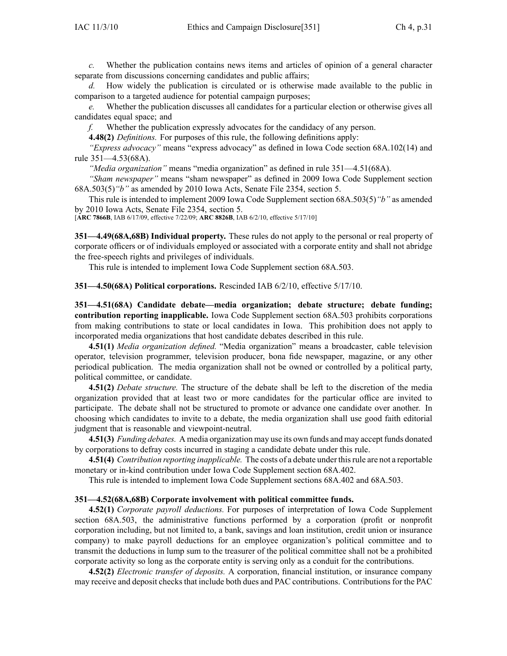*c.* Whether the publication contains news items and articles of opinion of <sup>a</sup> general character separate from discussions concerning candidates and public affairs;

*d.* How widely the publication is circulated or is otherwise made available to the public in comparison to <sup>a</sup> targeted audience for potential campaign purposes;

*e.* Whether the publication discusses all candidates for <sup>a</sup> particular election or otherwise gives all candidates equal space; and

*f.* Whether the publication expressly advocates for the candidacy of any person.

**4.48(2)** *Definitions.* For purposes of this rule, the following definitions apply:

*"Express advocacy"* means "express advocacy" as defined in Iowa Code section 68A.102(14) and rule 351—4.53(68A).

*"Media organization"* means "media organization" as defined in rule 351—4.51(68A).

*"Sham newspaper"* means "sham newspaper" as defined in 2009 Iowa Code Supplement section 68A.503(5)*"b"* as amended by 2010 Iowa Acts, Senate File 2354, section 5.

This rule is intended to implement 2009 Iowa Code Supplement section 68A.503(5)*"b"* as amended by 2010 Iowa Acts, Senate File 2354, section 5.

[**ARC 7866B**, IAB 6/17/09, effective 7/22/09; **ARC 8826B**, IAB 6/2/10, effective 5/17/10]

**351—4.49(68A,68B) Individual property.** These rules do not apply to the personal or real property of corporate officers or of individuals employed or associated with <sup>a</sup> corporate entity and shall not abridge the free-speech rights and privileges of individuals.

This rule is intended to implement Iowa Code Supplement section 68A.503.

**351—4.50(68A) Political corporations.** Rescinded IAB 6/2/10, effective 5/17/10.

**351—4.51(68A) Candidate debate—media organization; debate structure; debate funding; contribution reporting inapplicable.** Iowa Code Supplement section 68A.503 prohibits corporations from making contributions to state or local candidates in Iowa. This prohibition does not apply to incorporated media organizations that host candidate debates described in this rule.

**4.51(1)** *Media organization defined.* "Media organization" means <sup>a</sup> broadcaster, cable television operator, television programmer, television producer, bona fide newspaper, magazine, or any other periodical publication. The media organization shall not be owned or controlled by <sup>a</sup> political party, political committee, or candidate.

**4.51(2)** *Debate structure.* The structure of the debate shall be left to the discretion of the media organization provided that at least two or more candidates for the particular office are invited to participate. The debate shall not be structured to promote or advance one candidate over another. In choosing which candidates to invite to <sup>a</sup> debate, the media organization shall use good faith editorial judgment that is reasonable and viewpoint-neutral.

**4.51(3)** *Funding debates.* A media organization may use its own funds and may accep<sup>t</sup> funds donated by corporations to defray costs incurred in staging <sup>a</sup> candidate debate under this rule.

**4.51(4)** *Contribution reporting inapplicable.* The costs of <sup>a</sup> debate under thisrule are not <sup>a</sup> reportable monetary or in-kind contribution under Iowa Code Supplement section 68A.402.

This rule is intended to implement Iowa Code Supplement sections 68A.402 and 68A.503.

#### **351—4.52(68A,68B) Corporate involvement with political committee funds.**

**4.52(1)** *Corporate payroll deductions.* For purposes of interpretation of Iowa Code Supplement section 68A.503, the administrative functions performed by <sup>a</sup> corporation (profit or nonprofit corporation including, but not limited to, <sup>a</sup> bank, savings and loan institution, credit union or insurance company) to make payroll deductions for an employee organization's political committee and to transmit the deductions in lump sum to the treasurer of the political committee shall not be <sup>a</sup> prohibited corporate activity so long as the corporate entity is serving only as <sup>a</sup> conduit for the contributions.

**4.52(2)** *Electronic transfer of deposits.* A corporation, financial institution, or insurance company may receive and deposit checks that include both dues and PAC contributions. Contributions for the PAC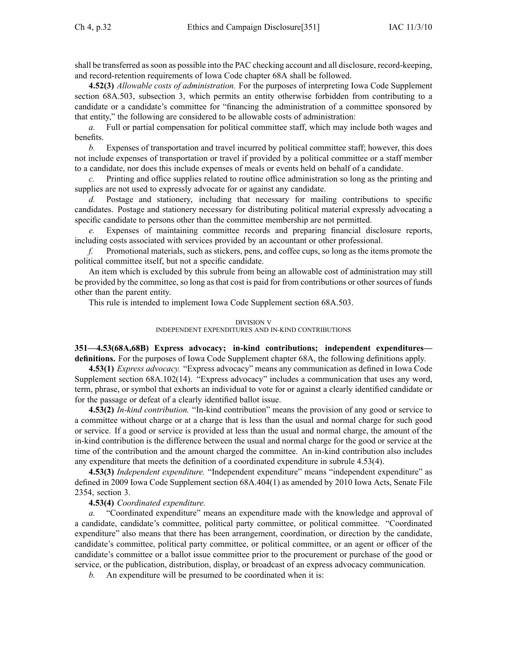shall be transferred assoon as possible into the PAC checking account and all disclosure, record-keeping, and record-retention requirements of Iowa Code chapter 68A shall be followed.

**4.52(3)** *Allowable costs of administration.* For the purposes of interpreting Iowa Code Supplement section 68A.503, subsection 3, which permits an entity otherwise forbidden from contributing to <sup>a</sup> candidate or <sup>a</sup> candidate's committee for "financing the administration of <sup>a</sup> committee sponsored by that entity," the following are considered to be allowable costs of administration:

*a.* Full or partial compensation for political committee staff, which may include both wages and benefits.

*b.* Expenses of transportation and travel incurred by political committee staff; however, this does not include expenses of transportation or travel if provided by <sup>a</sup> political committee or <sup>a</sup> staff member to <sup>a</sup> candidate, nor does this include expenses of meals or events held on behalf of <sup>a</sup> candidate.

*c.* Printing and office supplies related to routine office administration so long as the printing and supplies are not used to expressly advocate for or against any candidate.

*d.* Postage and stationery, including that necessary for mailing contributions to specific candidates. Postage and stationery necessary for distributing political material expressly advocating <sup>a</sup> specific candidate to persons other than the committee membership are not permitted.

*e.* Expenses of maintaining committee records and preparing financial disclosure reports, including costs associated with services provided by an accountant or other professional.

*f.* Promotional materials, such as stickers, pens, and coffee cups, so long as the items promote the political committee itself, but not <sup>a</sup> specific candidate.

An item which is excluded by this subrule from being an allowable cost of administration may still be provided by the committee, so long as that cost is paid for from contributions or other sources of funds other than the paren<sup>t</sup> entity.

This rule is intended to implement Iowa Code Supplement section 68A.503.

#### DIVISION V INDEPENDENT EXPENDITURES AND IN-KIND CONTRIBUTIONS

**351—4.53(68A,68B) Express advocacy; in-kind contributions; independent expenditures definitions.** For the purposes of Iowa Code Supplement chapter 68A, the following definitions apply.

**4.53(1)** *Express advocacy.* "Express advocacy" means any communication as defined in Iowa Code Supplement section 68A.102(14). "Express advocacy" includes <sup>a</sup> communication that uses any word, term, phrase, or symbol that exhorts an individual to vote for or against <sup>a</sup> clearly identified candidate or for the passage or defeat of <sup>a</sup> clearly identified ballot issue.

**4.53(2)** *In-kind contribution.* "In-kind contribution" means the provision of any good or service to <sup>a</sup> committee without charge or at <sup>a</sup> charge that is less than the usual and normal charge for such good or service. If <sup>a</sup> good or service is provided at less than the usual and normal charge, the amount of the in-kind contribution is the difference between the usual and normal charge for the good or service at the time of the contribution and the amount charged the committee. An in-kind contribution also includes any expenditure that meets the definition of <sup>a</sup> coordinated expenditure in subrule 4.53(4).

**4.53(3)** *Independent expenditure.* "Independent expenditure" means "independent expenditure" as defined in 2009 Iowa Code Supplement section 68A.404(1) as amended by 2010 Iowa Acts, Senate File 2354, section 3.

#### **4.53(4)** *Coordinated expenditure.*

*a.* "Coordinated expenditure" means an expenditure made with the knowledge and approval of <sup>a</sup> candidate, candidate's committee, political party committee, or political committee. "Coordinated expenditure" also means that there has been arrangement, coordination, or direction by the candidate, candidate's committee, political party committee, or political committee, or an agen<sup>t</sup> or officer of the candidate's committee or <sup>a</sup> ballot issue committee prior to the procuremen<sup>t</sup> or purchase of the good or service, or the publication, distribution, display, or broadcast of an express advocacy communication.

*b.* An expenditure will be presumed to be coordinated when it is: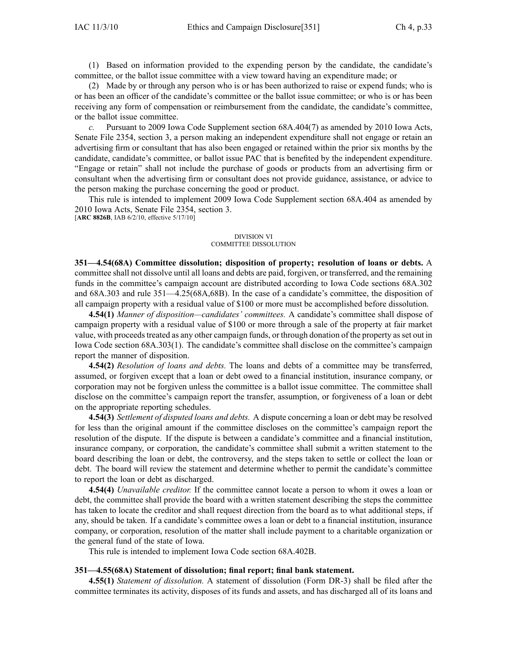(1) Based on information provided to the expending person by the candidate, the candidate's committee, or the ballot issue committee with <sup>a</sup> view toward having an expenditure made; or

(2) Made by or through any person who is or has been authorized to raise or expend funds; who is or has been an officer of the candidate's committee or the ballot issue committee; or who is or has been receiving any form of compensation or reimbursement from the candidate, the candidate's committee, or the ballot issue committee.

*c.* Pursuant to 2009 Iowa Code Supplement section 68A.404(7) as amended by 2010 Iowa Acts, Senate File 2354, section 3, <sup>a</sup> person making an independent expenditure shall not engage or retain an advertising firm or consultant that has also been engaged or retained within the prior six months by the candidate, candidate's committee, or ballot issue PAC that is benefited by the independent expenditure. "Engage or retain" shall not include the purchase of goods or products from an advertising firm or consultant when the advertising firm or consultant does not provide guidance, assistance, or advice to the person making the purchase concerning the good or product.

This rule is intended to implement 2009 Iowa Code Supplement section 68A.404 as amended by 2010 Iowa Acts, Senate File 2354, section 3. [**ARC 8826B**, IAB 6/2/10, effective 5/17/10]

#### DIVISION VI COMMITTEE DISSOLUTION

**351—4.54(68A) Committee dissolution; disposition of property; resolution of loans or debts.** A committee shall not dissolve until all loans and debts are paid, forgiven, or transferred, and the remaining funds in the committee's campaign account are distributed according to Iowa Code sections 68A.302 and 68A.303 and rule 351—4.25(68A,68B). In the case of <sup>a</sup> candidate's committee, the disposition of all campaign property with <sup>a</sup> residual value of \$100 or more must be accomplished before dissolution.

**4.54(1)** *Manner of disposition—candidates' committees.* A candidate's committee shall dispose of campaign property with <sup>a</sup> residual value of \$100 or more through <sup>a</sup> sale of the property at fair market value, with proceedstreated as any other campaign funds, or through donation of the property asset out in Iowa Code section 68A.303(1). The candidate's committee shall disclose on the committee's campaign repor<sup>t</sup> the manner of disposition.

**4.54(2)** *Resolution of loans and debts.* The loans and debts of <sup>a</sup> committee may be transferred, assumed, or forgiven excep<sup>t</sup> that <sup>a</sup> loan or debt owed to <sup>a</sup> financial institution, insurance company, or corporation may not be forgiven unless the committee is <sup>a</sup> ballot issue committee. The committee shall disclose on the committee's campaign repor<sup>t</sup> the transfer, assumption, or forgiveness of <sup>a</sup> loan or debt on the appropriate reporting schedules.

**4.54(3)** *Settlement of disputed loans and debts.* A dispute concerning <sup>a</sup> loan or debt may be resolved for less than the original amount if the committee discloses on the committee's campaign repor<sup>t</sup> the resolution of the dispute. If the dispute is between <sup>a</sup> candidate's committee and <sup>a</sup> financial institution, insurance company, or corporation, the candidate's committee shall submit <sup>a</sup> written statement to the board describing the loan or debt, the controversy, and the steps taken to settle or collect the loan or debt. The board will review the statement and determine whether to permit the candidate's committee to repor<sup>t</sup> the loan or debt as discharged.

**4.54(4)** *Unavailable creditor.* If the committee cannot locate <sup>a</sup> person to whom it owes <sup>a</sup> loan or debt, the committee shall provide the board with <sup>a</sup> written statement describing the steps the committee has taken to locate the creditor and shall reques<sup>t</sup> direction from the board as to what additional steps, if any, should be taken. If <sup>a</sup> candidate's committee owes <sup>a</sup> loan or debt to <sup>a</sup> financial institution, insurance company, or corporation, resolution of the matter shall include paymen<sup>t</sup> to <sup>a</sup> charitable organization or the general fund of the state of Iowa.

This rule is intended to implement Iowa Code section 68A.402B.

#### **351—4.55(68A) Statement of dissolution; final report; final bank statement.**

**4.55(1)** *Statement of dissolution.* A statement of dissolution (Form DR-3) shall be filed after the committee terminates its activity, disposes of its funds and assets, and has discharged all of its loans and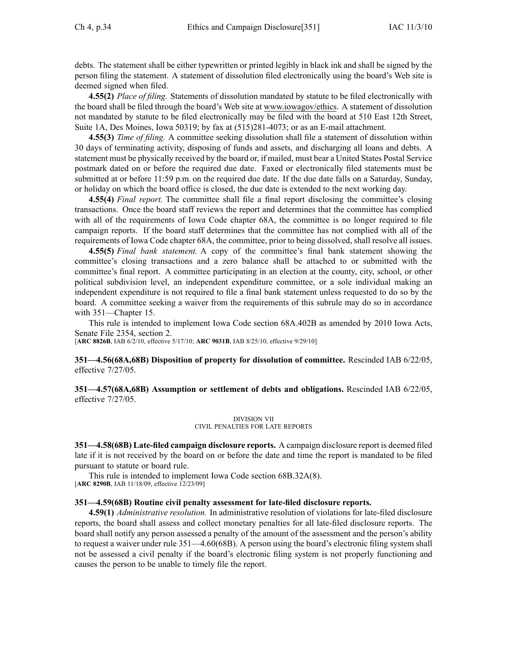debts. The statement shall be either typewritten or printed legibly in black ink and shall be signed by the person filing the statement. A statement of dissolution filed electronically using the board's Web site is deemed signed when filed.

**4.55(2)** *Place of filing.* Statements of dissolution mandated by statute to be filed electronically with the board shall be filed through the board's Web site at www.iowagov/ethics. A statement of dissolution not mandated by statute to be filed electronically may be filed with the board at 510 East 12th Street, Suite 1A, Des Moines, Iowa 50319; by fax at (515)281-4073; or as an E-mail attachment.

**4.55(3)** *Time of filing.* A committee seeking dissolution shall file <sup>a</sup> statement of dissolution within 30 days of terminating activity, disposing of funds and assets, and discharging all loans and debts. A statement must be physically received by the board or, if mailed, must bear <sup>a</sup> United States Postal Service postmark dated on or before the required due date. Faxed or electronically filed statements must be submitted at or before 11:59 p.m. on the required due date. If the due date falls on <sup>a</sup> Saturday, Sunday, or holiday on which the board office is closed, the due date is extended to the next working day.

**4.55(4)** *Final report.* The committee shall file <sup>a</sup> final repor<sup>t</sup> disclosing the committee's closing transactions. Once the board staff reviews the repor<sup>t</sup> and determines that the committee has complied with all of the requirements of Iowa Code chapter 68A, the committee is no longer required to file campaign reports. If the board staff determines that the committee has not complied with all of the requirements of Iowa Code chapter 68A, the committee, prior to being dissolved, shall resolve all issues.

**4.55(5)** *Final bank statement.* A copy of the committee's final bank statement showing the committee's closing transactions and <sup>a</sup> zero balance shall be attached to or submitted with the committee's final report. A committee participating in an election at the county, city, school, or other political subdivision level, an independent expenditure committee, or <sup>a</sup> sole individual making an independent expenditure is not required to file <sup>a</sup> final bank statement unless requested to do so by the board. A committee seeking <sup>a</sup> waiver from the requirements of this subrule may do so in accordance with 351—Chapter 15.

This rule is intended to implement Iowa Code section 68A.402B as amended by 2010 Iowa Acts, Senate File 2354, section 2.

[**ARC 8826B**, IAB 6/2/10, effective 5/17/10; **ARC 9031B**, IAB 8/25/10, effective 9/29/10]

**351—4.56(68A,68B) Disposition of property for dissolution of committee.** Rescinded IAB 6/22/05, effective 7/27/05.

**351—4.57(68A,68B) Assumption or settlement of debts and obligations.** Rescinded IAB 6/22/05, effective 7/27/05.

> DIVISION VII CIVIL PENALTIES FOR LATE REPORTS

**351—4.58(68B) Late-filed campaign disclosure reports.** A campaign disclosure repor<sup>t</sup> is deemed filed late if it is not received by the board on or before the date and time the repor<sup>t</sup> is mandated to be filed pursuan<sup>t</sup> to statute or board rule.

This rule is intended to implement Iowa Code section 68B.32A(8). [**ARC 8290B**, IAB 11/18/09, effective 12/23/09]

#### **351—4.59(68B) Routine civil penalty assessment for late-filed disclosure reports.**

**4.59(1)** *Administrative resolution.* In administrative resolution of violations for late-filed disclosure reports, the board shall assess and collect monetary penalties for all late-filed disclosure reports. The board shall notify any person assessed <sup>a</sup> penalty of the amount of the assessment and the person's ability to reques<sup>t</sup> <sup>a</sup> waiver under rule 351—4.60(68B). Aperson using the board's electronic filing system shall not be assessed <sup>a</sup> civil penalty if the board's electronic filing system is not properly functioning and causes the person to be unable to timely file the report.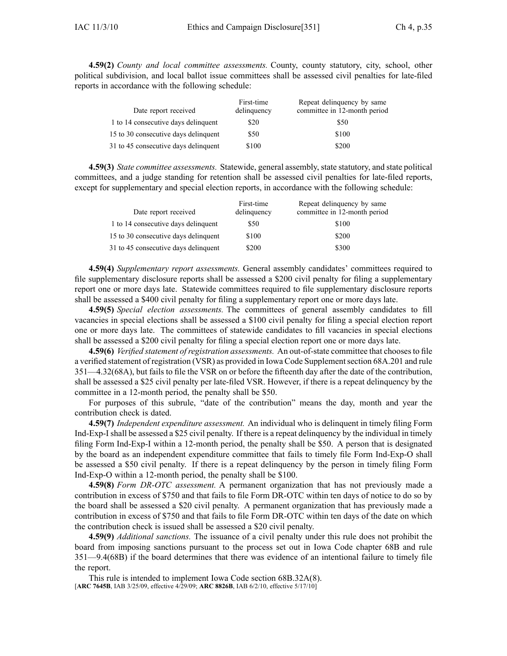**4.59(2)** *County and local committee assessments.* County, county statutory, city, school, other political subdivision, and local ballot issue committees shall be assessed civil penalties for late-filed reports in accordance with the following schedule:

| Date report received                 | First-time<br>delinquency | Repeat delinquency by same<br>committee in 12-month period |
|--------------------------------------|---------------------------|------------------------------------------------------------|
| 1 to 14 consecutive days delinquent  | \$20                      | \$50                                                       |
| 15 to 30 consecutive days delinquent | \$50                      | \$100                                                      |
| 31 to 45 consecutive days delinquent | \$100                     | \$200                                                      |

**4.59(3)** *State committee assessments.* Statewide, general assembly, state statutory, and state political committees, and <sup>a</sup> judge standing for retention shall be assessed civil penalties for late-filed reports, excep<sup>t</sup> for supplementary and special election reports, in accordance with the following schedule:

| Date report received                 | First-time<br>delinquency | Repeat delinquency by same<br>committee in 12-month period |
|--------------------------------------|---------------------------|------------------------------------------------------------|
| 1 to 14 consecutive days delinquent  | \$50                      | \$100                                                      |
| 15 to 30 consecutive days delinquent | \$100                     | \$200                                                      |
| 31 to 45 consecutive days delinquent | \$200                     | \$300                                                      |

**4.59(4)** *Supplementary repor<sup>t</sup> assessments.* General assembly candidates' committees required to file supplementary disclosure reports shall be assessed <sup>a</sup> \$200 civil penalty for filing <sup>a</sup> supplementary repor<sup>t</sup> one or more days late. Statewide committees required to file supplementary disclosure reports shall be assessed <sup>a</sup> \$400 civil penalty for filing <sup>a</sup> supplementary repor<sup>t</sup> one or more days late.

**4.59(5)** *Special election assessments.* The committees of general assembly candidates to fill vacancies in special elections shall be assessed <sup>a</sup> \$100 civil penalty for filing <sup>a</sup> special election repor<sup>t</sup> one or more days late. The committees of statewide candidates to fill vacancies in special elections shall be assessed <sup>a</sup> \$200 civil penalty for filing <sup>a</sup> special election repor<sup>t</sup> one or more days late.

**4.59(6)** *Verified statement ofregistration assessments.* An out-of-state committee that choosesto file <sup>a</sup> verified statement of registration (VSR) as provided in Iowa Code Supplementsection 68A.201 and rule 351—4.32(68A), but fails to file the VSR on or before the fifteenth day after the date of the contribution, shall be assessed <sup>a</sup> \$25 civil penalty per late-filed VSR. However, if there is <sup>a</sup> repea<sup>t</sup> delinquency by the committee in <sup>a</sup> 12-month period, the penalty shall be \$50.

For purposes of this subrule, "date of the contribution" means the day, month and year the contribution check is dated.

**4.59(7)** *Independent expenditure assessment.* An individual who is delinquent in timely filing Form Ind-Exp-Ishall be assessed <sup>a</sup> \$25 civil penalty. If there is <sup>a</sup> repea<sup>t</sup> delinquency by the individual in timely filing Form Ind-Exp-I within <sup>a</sup> 12-month period, the penalty shall be \$50. A person that is designated by the board as an independent expenditure committee that fails to timely file Form Ind-Exp-O shall be assessed <sup>a</sup> \$50 civil penalty. If there is <sup>a</sup> repea<sup>t</sup> delinquency by the person in timely filing Form Ind-Exp-O within <sup>a</sup> 12-month period, the penalty shall be \$100.

**4.59(8)** *Form DR-OTC assessment.* A permanen<sup>t</sup> organization that has not previously made <sup>a</sup> contribution in excess of \$750 and that fails to file Form DR-OTC within ten days of notice to do so by the board shall be assessed <sup>a</sup> \$20 civil penalty. A permanen<sup>t</sup> organization that has previously made <sup>a</sup> contribution in excess of \$750 and that fails to file Form DR-OTC within ten days of the date on which the contribution check is issued shall be assessed <sup>a</sup> \$20 civil penalty.

**4.59(9)** *Additional sanctions.* The issuance of <sup>a</sup> civil penalty under this rule does not prohibit the board from imposing sanctions pursuan<sup>t</sup> to the process set out in Iowa Code chapter 68B and rule 351—9.4(68B) if the board determines that there was evidence of an intentional failure to timely file the report.

This rule is intended to implement Iowa Code section 68B.32A(8). [**ARC 7645B**, IAB 3/25/09, effective 4/29/09; **ARC 8826B**, IAB 6/2/10, effective 5/17/10]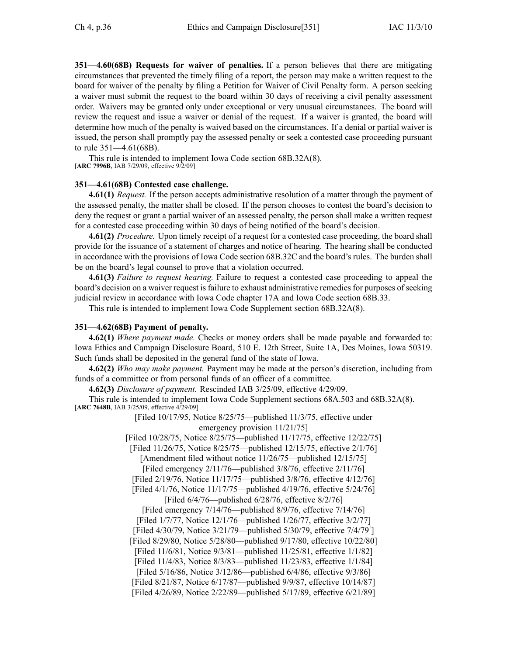**351—4.60(68B) Requests for waiver of penalties.** If <sup>a</sup> person believes that there are mitigating circumstances that prevented the timely filing of <sup>a</sup> report, the person may make <sup>a</sup> written reques<sup>t</sup> to the board for waiver of the penalty by filing <sup>a</sup> Petition for Waiver of Civil Penalty form. A person seeking <sup>a</sup> waiver must submit the reques<sup>t</sup> to the board within 30 days of receiving <sup>a</sup> civil penalty assessment order. Waivers may be granted only under exceptional or very unusual circumstances. The board will review the reques<sup>t</sup> and issue <sup>a</sup> waiver or denial of the request. If <sup>a</sup> waiver is granted, the board will determine how much of the penalty is waived based on the circumstances. If <sup>a</sup> denial or partial waiver is issued, the person shall promptly pay the assessed penalty or seek <sup>a</sup> contested case proceeding pursuan<sup>t</sup> to rule 351—4.61(68B).

This rule is intended to implement Iowa Code section 68B.32A(8). [**ARC 7996B**, IAB 7/29/09, effective 9/2/09]

### **351—4.61(68B) Contested case challenge.**

**4.61(1)** *Request.* If the person accepts administrative resolution of <sup>a</sup> matter through the paymen<sup>t</sup> of the assessed penalty, the matter shall be closed. If the person chooses to contest the board's decision to deny the reques<sup>t</sup> or gran<sup>t</sup> <sup>a</sup> partial waiver of an assessed penalty, the person shall make <sup>a</sup> written reques<sup>t</sup> for <sup>a</sup> contested case proceeding within 30 days of being notified of the board's decision.

**4.61(2)** *Procedure.* Upon timely receipt of <sup>a</sup> reques<sup>t</sup> for <sup>a</sup> contested case proceeding, the board shall provide for the issuance of <sup>a</sup> statement of charges and notice of hearing. The hearing shall be conducted in accordance with the provisions of Iowa Code section 68B.32C and the board's rules. The burden shall be on the board's legal counsel to prove that <sup>a</sup> violation occurred.

**4.61(3)** *Failure to reques<sup>t</sup> hearing.* Failure to reques<sup>t</sup> <sup>a</sup> contested case proceeding to appeal the board's decision on a waiver request is failure to exhaust administrative remedies for purposes of seeking judicial review in accordance with Iowa Code chapter 17A and Iowa Code section 68B.33.

This rule is intended to implement Iowa Code Supplement section 68B.32A(8).

## **351—4.62(68B) Payment of penalty.**

**4.62(1)** *Where paymen<sup>t</sup> made.* Checks or money orders shall be made payable and forwarded to: Iowa Ethics and Campaign Disclosure Board, 510 E. 12th Street, Suite 1A, Des Moines, Iowa 50319. Such funds shall be deposited in the general fund of the state of Iowa.

**4.62(2)** *Who may make payment.* Payment may be made at the person's discretion, including from funds of <sup>a</sup> committee or from personal funds of an officer of <sup>a</sup> committee.

**4.62(3)** *Disclosure of payment.* Rescinded IAB 3/25/09, effective 4/29/09.

This rule is intended to implement Iowa Code Supplement sections 68A.503 and 68B.32A(8). [**ARC 7648B**, IAB 3/25/09, effective 4/29/09]

[Filed 10/17/95, Notice 8/25/75—published 11/3/75, effective under emergency provision 11/21/75]

[Filed 10/28/75, Notice 8/25/75—published 11/17/75, effective 12/22/75]

[Filed 11/26/75, Notice 8/25/75—published 12/15/75, effective 2/1/76]

[Amendment filed without notice 11/26/75—published 12/15/75] [Filed emergency 2/11/76—published 3/8/76, effective 2/11/76]

[Filed 2/19/76, Notice 11/17/75—published 3/8/76, effective 4/12/76]

[Filed 4/1/76, Notice 11/17/75—published 4/19/76, effective 5/24/76]

[Filed 6/4/76—published 6/28/76, effective 8/2/76]

[Filed emergency 7/14/76—published 8/9/76, effective 7/14/76]

[Filed 1/7/77, Notice 12/1/76—published 1/26/77, effective 3/2/77]

[Filed 4/30/79, Notice  $3/21/79$ —published  $5/30/79$ , effective  $7/4/79<sup>1</sup>$ 

[Filed 8/29/80, Notice 5/28/80—published 9/17/80, effective 10/22/80]

[Filed 11/6/81, Notice 9/3/81—published 11/25/81, effective 1/1/82]

[Filed 11/4/83, Notice 8/3/83—published 11/23/83, effective 1/1/84]

[Filed 5/16/86, Notice 3/12/86—published 6/4/86, effective 9/3/86]

[Filed 8/21/87, Notice 6/17/87—published 9/9/87, effective 10/14/87]

[Filed 4/26/89, Notice 2/22/89—published 5/17/89, effective 6/21/89]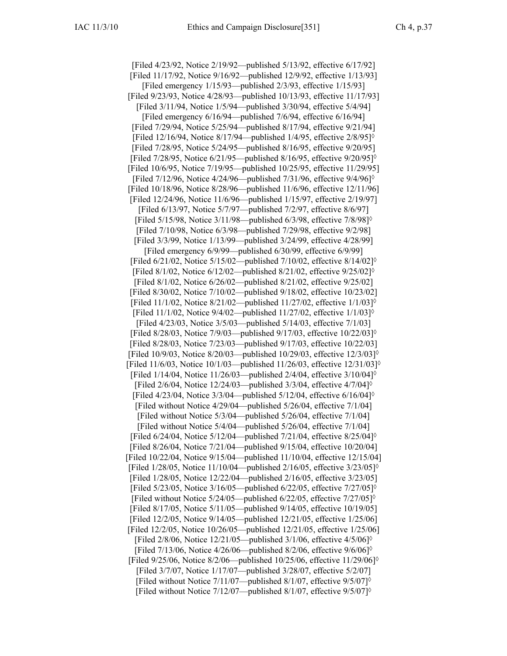[Filed 4/23/92, Notice 2/19/92—published 5/13/92, effective 6/17/92] [Filed 11/17/92, Notice 9/16/92—published 12/9/92, effective 1/13/93] [Filed emergency 1/15/93—published 2/3/93, effective 1/15/93] [Filed 9/23/93, Notice 4/28/93—published 10/13/93, effective 11/17/93] [Filed 3/11/94, Notice 1/5/94—published 3/30/94, effective 5/4/94] [Filed emergency 6/16/94—published 7/6/94, effective 6/16/94] [Filed 7/29/94, Notice 5/25/94—published 8/17/94, effective 9/21/94] [Filed 12/16/94, Notice 8/17/94—published 1/4/95, effective  $2/8/95$ ]<sup> $\circ$ </sup> [Filed 7/28/95, Notice 5/24/95—published 8/16/95, effective 9/20/95] [Filed 7/28/95, Notice 6/21/95—published 8/16/95, effective 9/20/95]◊ [Filed 10/6/95, Notice 7/19/95—published 10/25/95, effective 11/29/95] [Filed  $7/12/96$ , Notice  $4/24/96$ —published  $7/31/96$ , effective  $9/4/96$ ]<sup> $\circ$ </sup> [Filed 10/18/96, Notice 8/28/96—published 11/6/96, effective 12/11/96] [Filed 12/24/96, Notice 11/6/96—published 1/15/97, effective 2/19/97] [Filed 6/13/97, Notice 5/7/97—published 7/2/97, effective 8/6/97] [Filed 5/15/98, Notice 3/11/98—published 6/3/98, effective 7/8/98]◊ [Filed 7/10/98, Notice 6/3/98—published 7/29/98, effective 9/2/98] [Filed 3/3/99, Notice 1/13/99—published 3/24/99, effective 4/28/99] [Filed emergency 6/9/99—published 6/30/99, effective 6/9/99] [Filed 6/21/02, Notice 5/15/02—published 7/10/02, effective 8/14/02]◊ [Filed 8/1/02, Notice 6/12/02—published 8/21/02, effective 9/25/02]◊ [Filed 8/1/02, Notice 6/26/02—published 8/21/02, effective 9/25/02] [Filed 8/30/02, Notice 7/10/02—published 9/18/02, effective 10/23/02] [Filed 11/1/02, Notice 8/21/02—published 11/27/02, effective 1/1/03]◊ [Filed 11/1/02, Notice 9/4/02—published 11/27/02, effective 1/1/03]◊ [Filed 4/23/03, Notice 3/5/03—published 5/14/03, effective 7/1/03] [Filed 8/28/03, Notice 7/9/03—published 9/17/03, effective 10/22/03]◊ [Filed 8/28/03, Notice 7/23/03—published 9/17/03, effective 10/22/03] [Filed 10/9/03, Notice 8/20/03—published 10/29/03, effective 12/3/03]◊ [Filed 11/6/03, Notice 10/1/03—published 11/26/03, effective 12/31/03] $\circ$ [Filed  $1/14/04$ , Notice  $11/26/03$ —published  $2/4/04$ , effective  $3/10/04$ ]<sup> $\circ$ </sup> [Filed 2/6/04, Notice 12/24/03—published 3/3/04, effective 4/7/04]◊ [Filed 4/23/04, Notice 3/3/04—published 5/12/04, effective 6/16/04]◊ [Filed without Notice 4/29/04—published 5/26/04, effective 7/1/04] [Filed without Notice 5/3/04—published 5/26/04, effective 7/1/04] [Filed without Notice 5/4/04—published 5/26/04, effective 7/1/04] [Filed 6/24/04, Notice 5/12/04—published 7/21/04, effective 8/25/04]◊ [Filed 8/26/04, Notice 7/21/04—published 9/15/04, effective 10/20/04] [Filed 10/22/04, Notice 9/15/04—published 11/10/04, effective 12/15/04] [Filed 1/28/05, Notice 11/10/04—published 2/16/05, effective 3/23/05]◊ [Filed 1/28/05, Notice 12/22/04—published 2/16/05, effective 3/23/05] [Filed 5/23/05, Notice 3/16/05—published 6/22/05, effective 7/27/05]◊ [Filed without Notice  $5/24/05$ —published  $6/22/05$ , effective  $7/27/05$ ]<sup> $\circ$ </sup> [Filed 8/17/05, Notice 5/11/05—published 9/14/05, effective 10/19/05] [Filed 12/2/05, Notice 9/14/05—published 12/21/05, effective 1/25/06] [Filed 12/2/05, Notice 10/26/05—published 12/21/05, effective 1/25/06] [Filed  $2/8/06$ , Notice  $12/21/05$ —published  $3/1/06$ , effective  $4/5/06$ ]<sup> $\diamond$ </sup> [Filed 7/13/06, Notice 4/26/06—published 8/2/06, effective 9/6/06]◊ [Filed 9/25/06, Notice 8/2/06—published 10/25/06, effective 11/29/06]◊ [Filed 3/7/07, Notice 1/17/07—published 3/28/07, effective 5/2/07] [Filed without Notice 7/11/07—published 8/1/07, effective 9/5/07]◊ [Filed without Notice 7/12/07—published 8/1/07, effective 9/5/07]◊